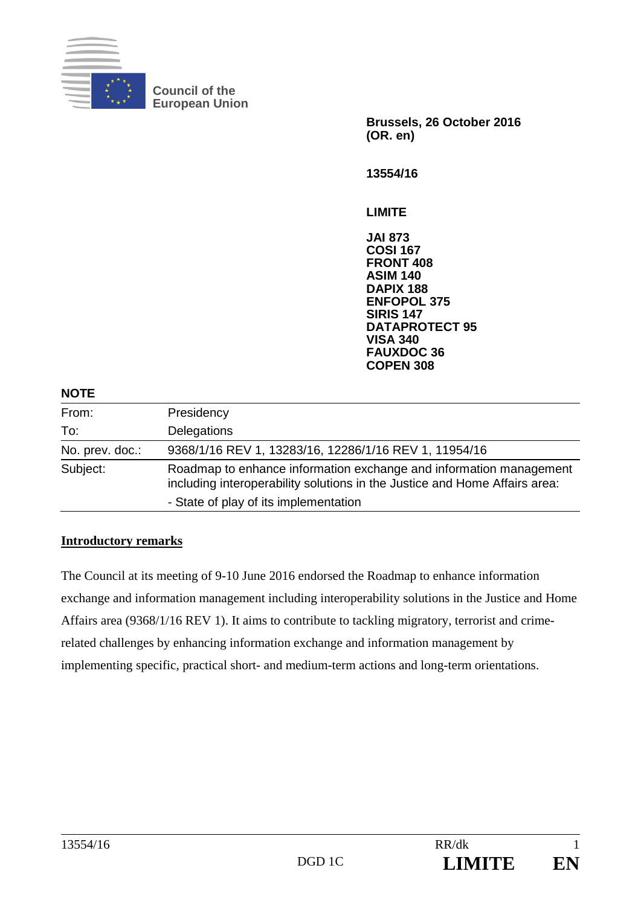

**Council of the European Union** 

> **Brussels, 26 October 2016 (OR. en)**

**13554/16** 

**LIMITE** 

**JAI 873 COSI 167 FRONT 408 ASIM 140 DAPIX 188 ENFOPOL 375 SIRIS 147 DATAPROTECT 95 VISA 340 FAUXDOC 36 COPEN 308**

#### **NOTE**

| From:           | Presidency                                                                                                                                       |  |  |  |
|-----------------|--------------------------------------------------------------------------------------------------------------------------------------------------|--|--|--|
| To:             | Delegations                                                                                                                                      |  |  |  |
| No. prev. doc.: | 9368/1/16 REV 1, 13283/16, 12286/1/16 REV 1, 11954/16                                                                                            |  |  |  |
| Subject:        | Roadmap to enhance information exchange and information management<br>including interoperability solutions in the Justice and Home Affairs area: |  |  |  |
|                 | - State of play of its implementation                                                                                                            |  |  |  |

### **Introductory remarks**

The Council at its meeting of 9-10 June 2016 endorsed the Roadmap to enhance information exchange and information management including interoperability solutions in the Justice and Home Affairs area (9368/1/16 REV 1). It aims to contribute to tackling migratory, terrorist and crimerelated challenges by enhancing information exchange and information management by implementing specific, practical short- and medium-term actions and long-term orientations.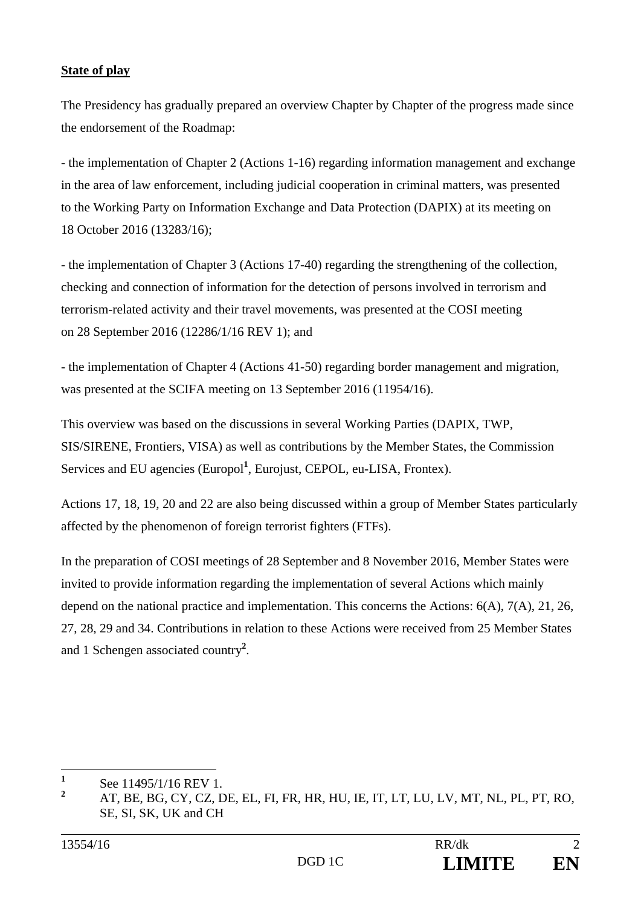## **State of play**

The Presidency has gradually prepared an overview Chapter by Chapter of the progress made since the endorsement of the Roadmap:

- the implementation of Chapter 2 (Actions 1-16) regarding information management and exchange in the area of law enforcement, including judicial cooperation in criminal matters, was presented to the Working Party on Information Exchange and Data Protection (DAPIX) at its meeting on 18 October 2016 (13283/16);

- the implementation of Chapter 3 (Actions 17-40) regarding the strengthening of the collection, checking and connection of information for the detection of persons involved in terrorism and terrorism-related activity and their travel movements, was presented at the COSI meeting on 28 September 2016 (12286/1/16 REV 1); and

- the implementation of Chapter 4 (Actions 41-50) regarding border management and migration, was presented at the SCIFA meeting on 13 September 2016 (11954/16).

This overview was based on the discussions in several Working Parties (DAPIX, TWP, SIS/SIRENE, Frontiers, VISA) as well as contributions by the Member States, the Commission Services and EU agencies (Europol<sup>1</sup>, Eurojust, CEPOL, eu-LISA, Frontex).

Actions 17, 18, 19, 20 and 22 are also being discussed within a group of Member States particularly affected by the phenomenon of foreign terrorist fighters (FTFs).

In the preparation of COSI meetings of 28 September and 8 November 2016, Member States were invited to provide information regarding the implementation of several Actions which mainly depend on the national practice and implementation. This concerns the Actions: 6(A), 7(A), 21, 26, 27, 28, 29 and 34. Contributions in relation to these Actions were received from 25 Member States and 1 Schengen associated country**<sup>2</sup>** .

 **1** See 11495/1/16 REV 1.

**<sup>2</sup>** AT, BE, BG, CY, CZ, DE, EL, FI, FR, HR, HU, IE, IT, LT, LU, LV, MT, NL, PL, PT, RO, SE, SI, SK, UK and CH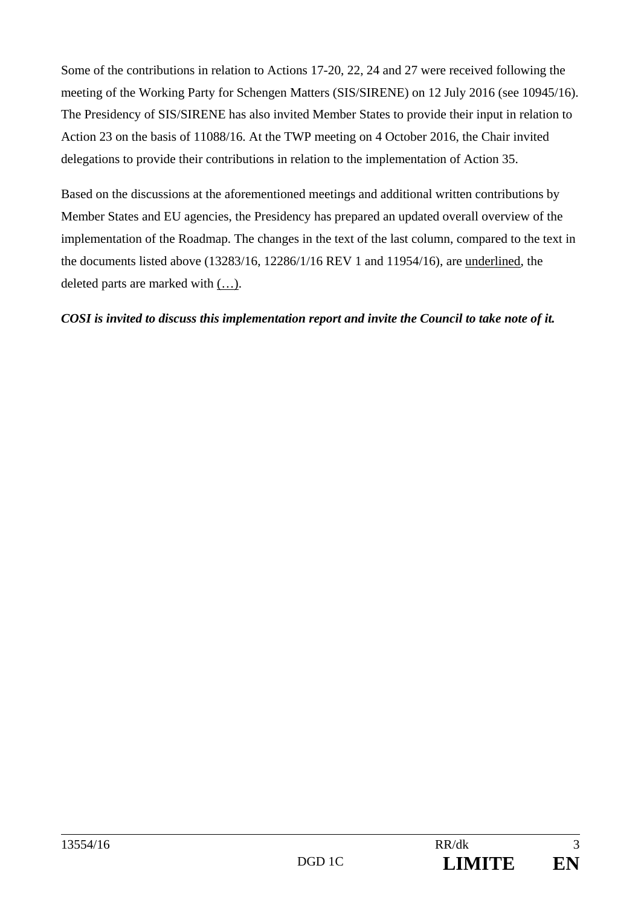Some of the contributions in relation to Actions 17-20, 22, 24 and 27 were received following the meeting of the Working Party for Schengen Matters (SIS/SIRENE) on 12 July 2016 (see 10945/16). The Presidency of SIS/SIRENE has also invited Member States to provide their input in relation to Action 23 on the basis of 11088/16. At the TWP meeting on 4 October 2016, the Chair invited delegations to provide their contributions in relation to the implementation of Action 35.

Based on the discussions at the aforementioned meetings and additional written contributions by Member States and EU agencies, the Presidency has prepared an updated overall overview of the implementation of the Roadmap. The changes in the text of the last column, compared to the text in the documents listed above (13283/16, 12286/1/16 REV 1 and 11954/16), are underlined, the deleted parts are marked with (…).

## *COSI is invited to discuss this implementation report and invite the Council to take note of it.*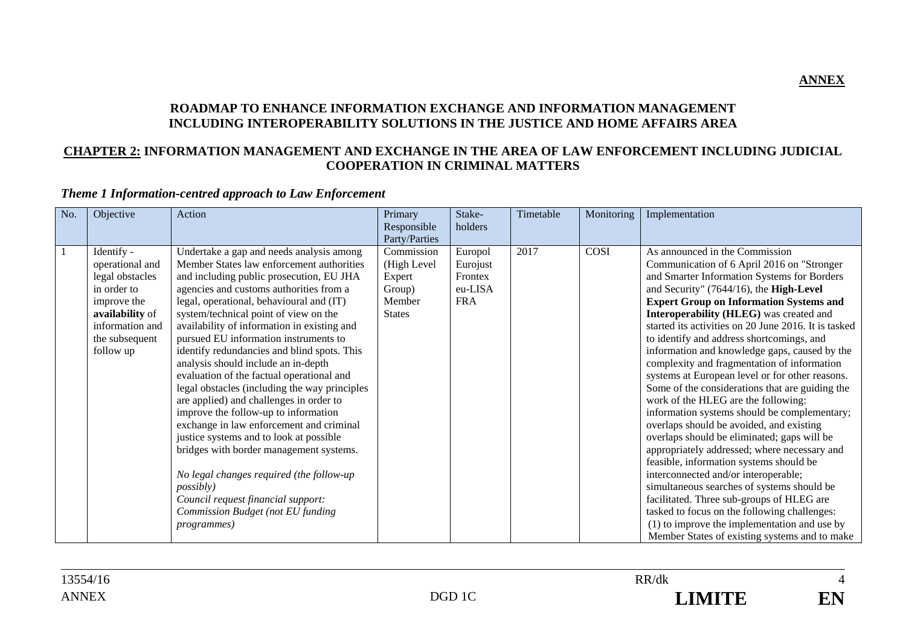#### **ROADMAP TO ENHANCE INFORMATION EXCHANGE AND INFORMATION MANAGEMENT INCLUDING INTEROPERABILITY SOLUTIONS IN THE JUSTICE AND HOME AFFAIRS AREA**

#### **CHAPTER 2: INFORMATION MANAGEMENT AND EXCHANGE IN THE AREA OF LAW ENFORCEMENT INCLUDING JUDICIAL COOPERATION IN CRIMINAL MATTERS**

## *Theme 1 Information-centred approach to Law Enforcement*

| No.          | Objective                                                                                                                                           | Action                                                                                                                                                                                                                                                                                                                                                                                                                                                                                                                                                                                                                                                                                                                                                                                                                                                                                                                                | Primary<br>Responsible<br>Party/Parties                                  | Stake-<br>holders                                       | Timetable | Monitoring | Implementation                                                                                                                                                                                                                                                                                                                                                                                                                                                                                                                                                                                                                                                                                                                                                                                                                                                                                                                                                                                                                                                                                                                                  |
|--------------|-----------------------------------------------------------------------------------------------------------------------------------------------------|---------------------------------------------------------------------------------------------------------------------------------------------------------------------------------------------------------------------------------------------------------------------------------------------------------------------------------------------------------------------------------------------------------------------------------------------------------------------------------------------------------------------------------------------------------------------------------------------------------------------------------------------------------------------------------------------------------------------------------------------------------------------------------------------------------------------------------------------------------------------------------------------------------------------------------------|--------------------------------------------------------------------------|---------------------------------------------------------|-----------|------------|-------------------------------------------------------------------------------------------------------------------------------------------------------------------------------------------------------------------------------------------------------------------------------------------------------------------------------------------------------------------------------------------------------------------------------------------------------------------------------------------------------------------------------------------------------------------------------------------------------------------------------------------------------------------------------------------------------------------------------------------------------------------------------------------------------------------------------------------------------------------------------------------------------------------------------------------------------------------------------------------------------------------------------------------------------------------------------------------------------------------------------------------------|
| <sup>1</sup> | Identify -<br>operational and<br>legal obstacles<br>in order to<br>improve the<br>availability of<br>information and<br>the subsequent<br>follow up | Undertake a gap and needs analysis among<br>Member States law enforcement authorities<br>and including public prosecution, EU JHA<br>agencies and customs authorities from a<br>legal, operational, behavioural and (IT)<br>system/technical point of view on the<br>availability of information in existing and<br>pursued EU information instruments to<br>identify redundancies and blind spots. This<br>analysis should include an in-depth<br>evaluation of the factual operational and<br>legal obstacles (including the way principles<br>are applied) and challenges in order to<br>improve the follow-up to information<br>exchange in law enforcement and criminal<br>justice systems and to look at possible<br>bridges with border management systems.<br>No legal changes required (the follow-up<br><i>possibly</i> )<br>Council request financial support:<br>Commission Budget (not EU funding<br><i>programmes</i> ) | Commission<br>(High Level<br>Expert<br>Group)<br>Member<br><b>States</b> | Europol<br>Eurojust<br>Frontex<br>eu-LISA<br><b>FRA</b> | 2017      | COSI       | As announced in the Commission<br>Communication of 6 April 2016 on "Stronger<br>and Smarter Information Systems for Borders<br>and Security" (7644/16), the High-Level<br><b>Expert Group on Information Systems and</b><br>Interoperability (HLEG) was created and<br>started its activities on 20 June 2016. It is tasked<br>to identify and address shortcomings, and<br>information and knowledge gaps, caused by the<br>complexity and fragmentation of information<br>systems at European level or for other reasons.<br>Some of the considerations that are guiding the<br>work of the HLEG are the following:<br>information systems should be complementary;<br>overlaps should be avoided, and existing<br>overlaps should be eliminated; gaps will be<br>appropriately addressed; where necessary and<br>feasible, information systems should be<br>interconnected and/or interoperable;<br>simultaneous searches of systems should be<br>facilitated. Three sub-groups of HLEG are<br>tasked to focus on the following challenges:<br>(1) to improve the implementation and use by<br>Member States of existing systems and to make |



**ANNEX**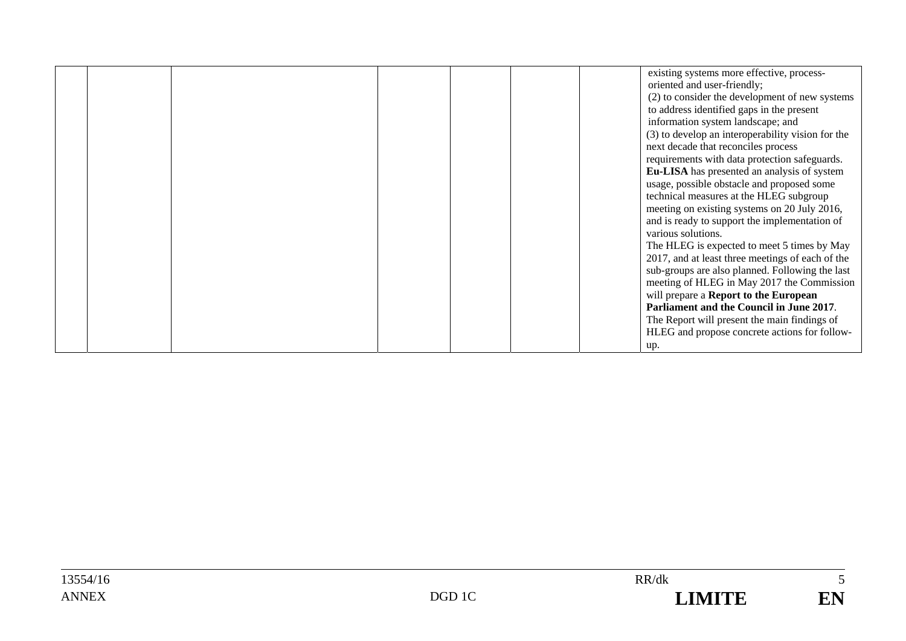|  |  |  | existing systems more effective, process-         |
|--|--|--|---------------------------------------------------|
|  |  |  | oriented and user-friendly;                       |
|  |  |  | (2) to consider the development of new systems    |
|  |  |  | to address identified gaps in the present         |
|  |  |  | information system landscape; and                 |
|  |  |  | (3) to develop an interoperability vision for the |
|  |  |  | next decade that reconciles process               |
|  |  |  | requirements with data protection safeguards.     |
|  |  |  | Eu-LISA has presented an analysis of system       |
|  |  |  | usage, possible obstacle and proposed some        |
|  |  |  | technical measures at the HLEG subgroup           |
|  |  |  | meeting on existing systems on 20 July 2016,      |
|  |  |  | and is ready to support the implementation of     |
|  |  |  | various solutions.                                |
|  |  |  | The HLEG is expected to meet 5 times by May       |
|  |  |  | 2017, and at least three meetings of each of the  |
|  |  |  | sub-groups are also planned. Following the last   |
|  |  |  | meeting of HLEG in May 2017 the Commission        |
|  |  |  | will prepare a Report to the European             |
|  |  |  | Parliament and the Council in June 2017.          |
|  |  |  | The Report will present the main findings of      |
|  |  |  | HLEG and propose concrete actions for follow-     |
|  |  |  | up.                                               |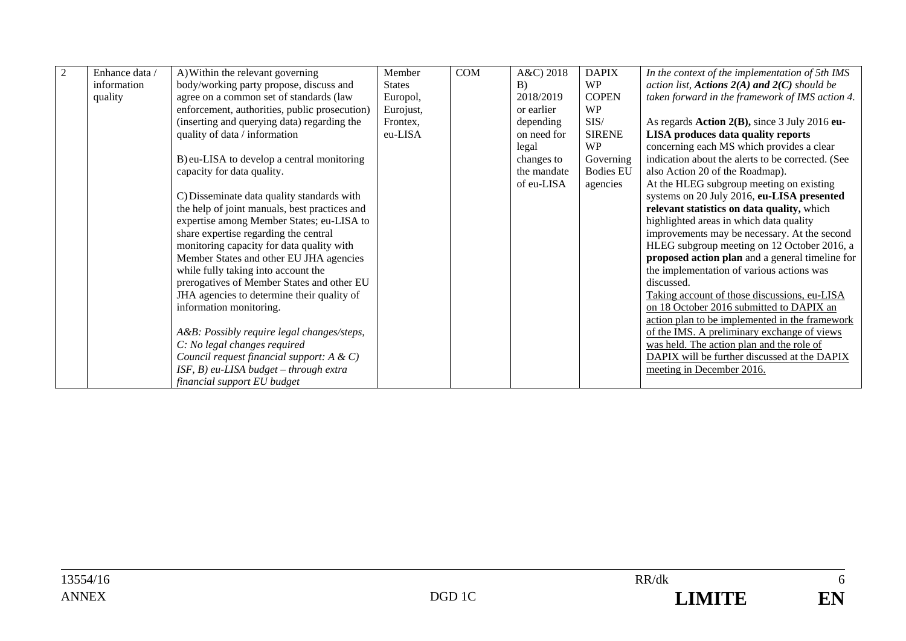| Enhance data / | A) Within the relevant governing              | Member        | <b>COM</b> | A&C) 2018   | <b>DAPIX</b>     | In the context of the implementation of 5th IMS   |
|----------------|-----------------------------------------------|---------------|------------|-------------|------------------|---------------------------------------------------|
| information    | body/working party propose, discuss and       | <b>States</b> |            | B)          | <b>WP</b>        | action list, Actions $2(A)$ and $2(C)$ should be  |
| quality        | agree on a common set of standards (law       | Europol,      |            | 2018/2019   | <b>COPEN</b>     | taken forward in the framework of IMS action 4.   |
|                | enforcement, authorities, public prosecution) | Eurojust,     |            | or earlier  | <b>WP</b>        |                                                   |
|                | (inserting and querying data) regarding the   | Frontex,      |            | depending   | SIS/             | As regards Action $2(B)$ , since 3 July 2016 eu-  |
|                | quality of data / information                 | eu-LISA       |            | on need for | <b>SIRENE</b>    | LISA produces data quality reports                |
|                |                                               |               |            | legal       | <b>WP</b>        | concerning each MS which provides a clear         |
|                | B) eu-LISA to develop a central monitoring    |               |            | changes to  | Governing        | indication about the alerts to be corrected. (See |
|                | capacity for data quality.                    |               |            | the mandate | <b>Bodies EU</b> | also Action 20 of the Roadmap).                   |
|                |                                               |               |            | of eu-LISA  | agencies         | At the HLEG subgroup meeting on existing          |
|                | C) Disseminate data quality standards with    |               |            |             |                  | systems on 20 July 2016, eu-LISA presented        |
|                | the help of joint manuals, best practices and |               |            |             |                  | relevant statistics on data quality, which        |
|                | expertise among Member States; eu-LISA to     |               |            |             |                  | highlighted areas in which data quality           |
|                | share expertise regarding the central         |               |            |             |                  | improvements may be necessary. At the second      |
|                | monitoring capacity for data quality with     |               |            |             |                  | HLEG subgroup meeting on 12 October 2016, a       |
|                | Member States and other EU JHA agencies       |               |            |             |                  | proposed action plan and a general timeline for   |
|                | while fully taking into account the           |               |            |             |                  | the implementation of various actions was         |
|                | prerogatives of Member States and other EU    |               |            |             |                  | discussed.                                        |
|                | JHA agencies to determine their quality of    |               |            |             |                  | Taking account of those discussions, eu-LISA      |
|                | information monitoring.                       |               |            |             |                  | on 18 October 2016 submitted to DAPIX an          |
|                |                                               |               |            |             |                  | action plan to be implemented in the framework    |
|                | A&B: Possibly require legal changes/steps,    |               |            |             |                  | of the IMS. A preliminary exchange of views       |
|                | C: No legal changes required                  |               |            |             |                  | was held. The action plan and the role of         |
|                | Council request financial support: A & C)     |               |            |             |                  | DAPIX will be further discussed at the DAPIX      |
|                | $ISF, B)$ eu-LISA budget - through extra      |               |            |             |                  | meeting in December 2016.                         |
|                | financial support EU budget                   |               |            |             |                  |                                                   |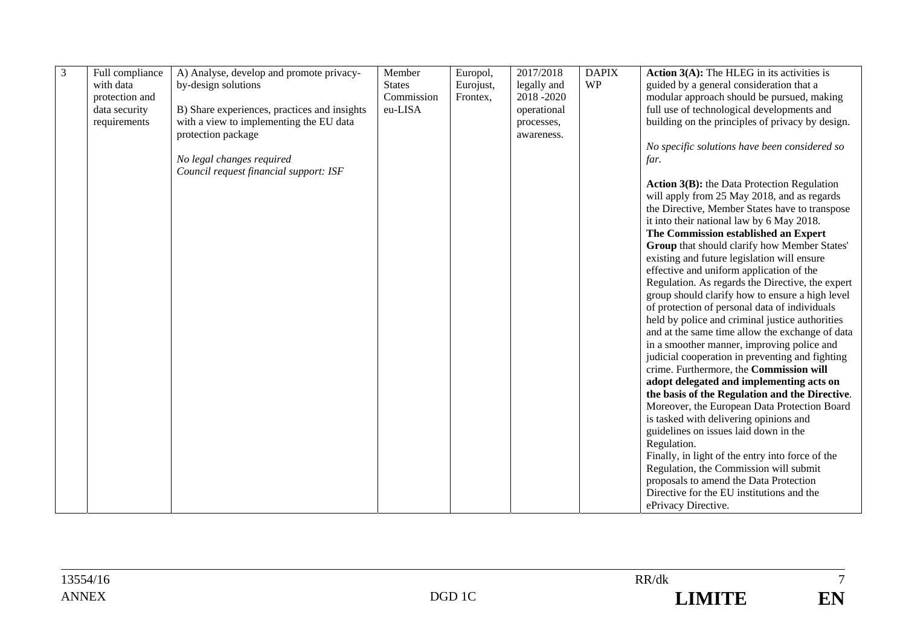| 3 | Full compliance | A) Analyse, develop and promote privacy-     | Member        | Europol,  | 2017/2018   | <b>DAPIX</b> | Action 3(A): The HLEG in its activities is                      |
|---|-----------------|----------------------------------------------|---------------|-----------|-------------|--------------|-----------------------------------------------------------------|
|   | with data       | by-design solutions                          | <b>States</b> | Eurojust, | legally and | <b>WP</b>    | guided by a general consideration that a                        |
|   | protection and  |                                              | Commission    | Frontex,  | 2018-2020   |              | modular approach should be pursued, making                      |
|   | data security   | B) Share experiences, practices and insights | eu-LISA       |           | operational |              | full use of technological developments and                      |
|   | requirements    | with a view to implementing the EU data      |               |           | processes,  |              | building on the principles of privacy by design.                |
|   |                 | protection package                           |               |           | awareness.  |              |                                                                 |
|   |                 |                                              |               |           |             |              | No specific solutions have been considered so                   |
|   |                 | No legal changes required                    |               |           |             |              | far.                                                            |
|   |                 | Council request financial support: ISF       |               |           |             |              |                                                                 |
|   |                 |                                              |               |           |             |              | <b>Action 3(B):</b> the Data Protection Regulation              |
|   |                 |                                              |               |           |             |              | will apply from 25 May 2018, and as regards                     |
|   |                 |                                              |               |           |             |              | the Directive, Member States have to transpose                  |
|   |                 |                                              |               |           |             |              | it into their national law by 6 May 2018.                       |
|   |                 |                                              |               |           |             |              | The Commission established an Expert                            |
|   |                 |                                              |               |           |             |              | Group that should clarify how Member States'                    |
|   |                 |                                              |               |           |             |              | existing and future legislation will ensure                     |
|   |                 |                                              |               |           |             |              | effective and uniform application of the                        |
|   |                 |                                              |               |           |             |              | Regulation. As regards the Directive, the expert                |
|   |                 |                                              |               |           |             |              | group should clarify how to ensure a high level                 |
|   |                 |                                              |               |           |             |              | of protection of personal data of individuals                   |
|   |                 |                                              |               |           |             |              | held by police and criminal justice authorities                 |
|   |                 |                                              |               |           |             |              | and at the same time allow the exchange of data                 |
|   |                 |                                              |               |           |             |              | in a smoother manner, improving police and                      |
|   |                 |                                              |               |           |             |              | judicial cooperation in preventing and fighting                 |
|   |                 |                                              |               |           |             |              | crime. Furthermore, the Commission will                         |
|   |                 |                                              |               |           |             |              | adopt delegated and implementing acts on                        |
|   |                 |                                              |               |           |             |              | the basis of the Regulation and the Directive.                  |
|   |                 |                                              |               |           |             |              | Moreover, the European Data Protection Board                    |
|   |                 |                                              |               |           |             |              | is tasked with delivering opinions and                          |
|   |                 |                                              |               |           |             |              | guidelines on issues laid down in the                           |
|   |                 |                                              |               |           |             |              | Regulation.<br>Finally, in light of the entry into force of the |
|   |                 |                                              |               |           |             |              | Regulation, the Commission will submit                          |
|   |                 |                                              |               |           |             |              | proposals to amend the Data Protection                          |
|   |                 |                                              |               |           |             |              | Directive for the EU institutions and the                       |
|   |                 |                                              |               |           |             |              | ePrivacy Directive.                                             |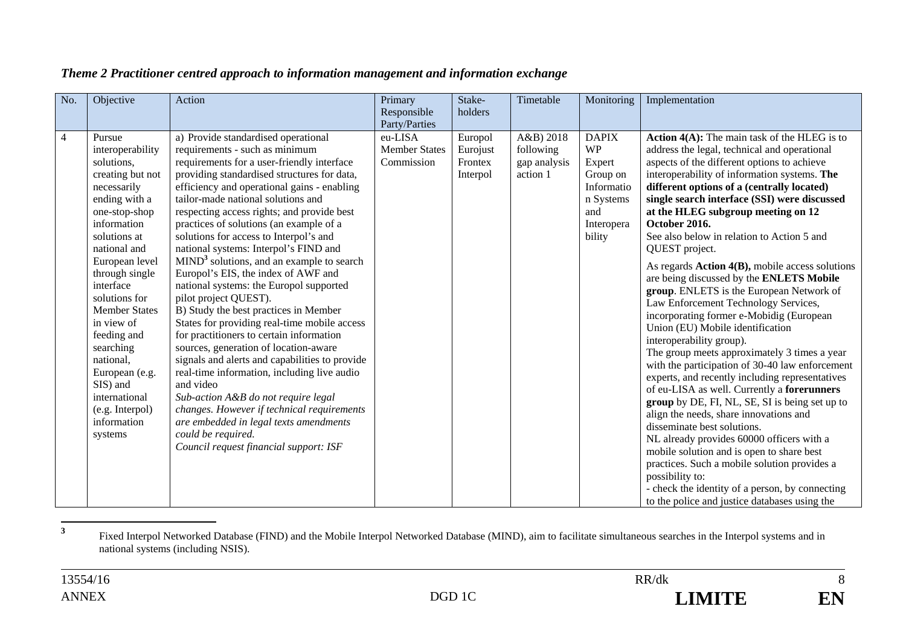| No.            | Objective                                                                                                                                                                                                                                                                                                                                                                                                 | Action                                                                                                                                                                                                                                                                                                                                                                                                                                                                                                                                                                                                                                                                                                                                                                                                                                                                                                                                                                                                                                                                                   | Primary<br>Responsible<br>Party/Parties       | Stake-<br>holders                          | Timetable                                          | Monitoring                                                                                                | Implementation                                                                                                                                                                                                                                                                                                                                                                                                                                                                                                                                                                                                                                                                                                                                                                                                                                                                                                                                                                                                                                                                                                                                                                                                                                                                                                             |
|----------------|-----------------------------------------------------------------------------------------------------------------------------------------------------------------------------------------------------------------------------------------------------------------------------------------------------------------------------------------------------------------------------------------------------------|------------------------------------------------------------------------------------------------------------------------------------------------------------------------------------------------------------------------------------------------------------------------------------------------------------------------------------------------------------------------------------------------------------------------------------------------------------------------------------------------------------------------------------------------------------------------------------------------------------------------------------------------------------------------------------------------------------------------------------------------------------------------------------------------------------------------------------------------------------------------------------------------------------------------------------------------------------------------------------------------------------------------------------------------------------------------------------------|-----------------------------------------------|--------------------------------------------|----------------------------------------------------|-----------------------------------------------------------------------------------------------------------|----------------------------------------------------------------------------------------------------------------------------------------------------------------------------------------------------------------------------------------------------------------------------------------------------------------------------------------------------------------------------------------------------------------------------------------------------------------------------------------------------------------------------------------------------------------------------------------------------------------------------------------------------------------------------------------------------------------------------------------------------------------------------------------------------------------------------------------------------------------------------------------------------------------------------------------------------------------------------------------------------------------------------------------------------------------------------------------------------------------------------------------------------------------------------------------------------------------------------------------------------------------------------------------------------------------------------|
| $\overline{4}$ | Pursue<br>interoperability<br>solutions,<br>creating but not<br>necessarily<br>ending with a<br>one-stop-shop<br>information<br>solutions at<br>national and<br>European level<br>through single<br>interface<br>solutions for<br><b>Member States</b><br>in view of<br>feeding and<br>searching<br>national,<br>European (e.g.<br>SIS) and<br>international<br>(e.g. Interpol)<br>information<br>systems | a) Provide standardised operational<br>requirements - such as minimum<br>requirements for a user-friendly interface<br>providing standardised structures for data,<br>efficiency and operational gains - enabling<br>tailor-made national solutions and<br>respecting access rights; and provide best<br>practices of solutions (an example of a<br>solutions for access to Interpol's and<br>national systems: Interpol's FIND and<br>$MIND3$ solutions, and an example to search<br>Europol's EIS, the index of AWF and<br>national systems: the Europol supported<br>pilot project QUEST).<br>B) Study the best practices in Member<br>States for providing real-time mobile access<br>for practitioners to certain information<br>sources, generation of location-aware<br>signals and alerts and capabilities to provide<br>real-time information, including live audio<br>and video<br>Sub-action A&B do not require legal<br>changes. However if technical requirements<br>are embedded in legal texts amendments<br>could be required.<br>Council request financial support: ISF | eu-LISA<br><b>Member States</b><br>Commission | Europol<br>Eurojust<br>Frontex<br>Interpol | A&B) 2018<br>following<br>gap analysis<br>action 1 | <b>DAPIX</b><br><b>WP</b><br>Expert<br>Group on<br>Informatio<br>n Systems<br>and<br>Interopera<br>bility | <b>Action 4(A):</b> The main task of the HLEG is to<br>address the legal, technical and operational<br>aspects of the different options to achieve<br>interoperability of information systems. The<br>different options of a (centrally located)<br>single search interface (SSI) were discussed<br>at the HLEG subgroup meeting on 12<br>October 2016.<br>See also below in relation to Action 5 and<br>QUEST project.<br>As regards $Action 4(B)$ , mobile access solutions<br>are being discussed by the ENLETS Mobile<br>group. ENLETS is the European Network of<br>Law Enforcement Technology Services,<br>incorporating former e-Mobidig (European<br>Union (EU) Mobile identification<br>interoperability group).<br>The group meets approximately 3 times a year<br>with the participation of 30-40 law enforcement<br>experts, and recently including representatives<br>of eu-LISA as well. Currently a forerunners<br>group by DE, FI, NL, SE, SI is being set up to<br>align the needs, share innovations and<br>disseminate best solutions.<br>NL already provides 60000 officers with a<br>mobile solution and is open to share best<br>practices. Such a mobile solution provides a<br>possibility to:<br>- check the identity of a person, by connecting<br>to the police and justice databases using the |

### *Theme 2 Practitioner centred approach to information management and information exchange*

**<sup>3</sup>** Fixed Interpol Networked Database (FIND) and the Mobile Interpol Networked Database (MIND), aim to facilitate simultaneous searches in the Interpol systems and in national systems (including NSIS).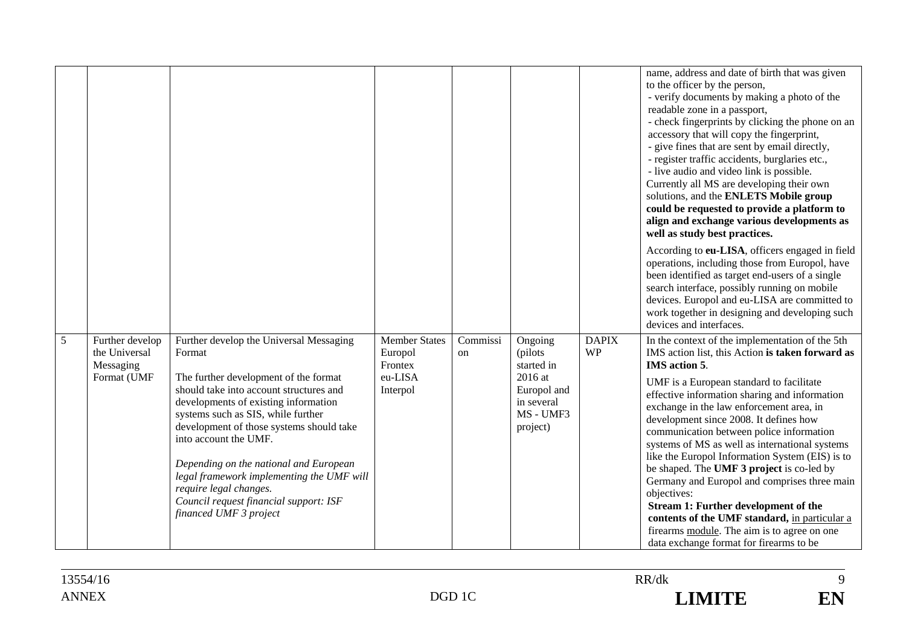|   |                                                              |                                                                                                                                                                                                                                                                                                                                                                                                                                                                               |                                                                   |                |                                                                                                    |                           | name, address and date of birth that was given<br>to the officer by the person,<br>- verify documents by making a photo of the<br>readable zone in a passport,<br>- check fingerprints by clicking the phone on an<br>accessory that will copy the fingerprint,<br>- give fines that are sent by email directly,<br>- register traffic accidents, burglaries etc.,<br>- live audio and video link is possible.<br>Currently all MS are developing their own<br>solutions, and the ENLETS Mobile group<br>could be requested to provide a platform to<br>align and exchange various developments as<br>well as study best practices.                                                                                                                                   |
|---|--------------------------------------------------------------|-------------------------------------------------------------------------------------------------------------------------------------------------------------------------------------------------------------------------------------------------------------------------------------------------------------------------------------------------------------------------------------------------------------------------------------------------------------------------------|-------------------------------------------------------------------|----------------|----------------------------------------------------------------------------------------------------|---------------------------|-----------------------------------------------------------------------------------------------------------------------------------------------------------------------------------------------------------------------------------------------------------------------------------------------------------------------------------------------------------------------------------------------------------------------------------------------------------------------------------------------------------------------------------------------------------------------------------------------------------------------------------------------------------------------------------------------------------------------------------------------------------------------|
|   |                                                              |                                                                                                                                                                                                                                                                                                                                                                                                                                                                               |                                                                   |                |                                                                                                    |                           | According to eu-LISA, officers engaged in field<br>operations, including those from Europol, have<br>been identified as target end-users of a single<br>search interface, possibly running on mobile<br>devices. Europol and eu-LISA are committed to<br>work together in designing and developing such<br>devices and interfaces.                                                                                                                                                                                                                                                                                                                                                                                                                                    |
| 5 | Further develop<br>the Universal<br>Messaging<br>Format (UMF | Further develop the Universal Messaging<br>Format<br>The further development of the format<br>should take into account structures and<br>developments of existing information<br>systems such as SIS, while further<br>development of those systems should take<br>into account the UMF.<br>Depending on the national and European<br>legal framework implementing the UMF will<br>require legal changes.<br>Council request financial support: ISF<br>financed UMF 3 project | <b>Member States</b><br>Europol<br>Frontex<br>eu-LISA<br>Interpol | Commissi<br>on | Ongoing<br>(pilots)<br>started in<br>2016 at<br>Europol and<br>in several<br>MS - UMF3<br>project) | <b>DAPIX</b><br><b>WP</b> | In the context of the implementation of the 5th<br>IMS action list, this Action is taken forward as<br><b>IMS</b> action 5.<br>UMF is a European standard to facilitate<br>effective information sharing and information<br>exchange in the law enforcement area, in<br>development since 2008. It defines how<br>communication between police information<br>systems of MS as well as international systems<br>like the Europol Information System (EIS) is to<br>be shaped. The UMF 3 project is co-led by<br>Germany and Europol and comprises three main<br>objectives:<br><b>Stream 1: Further development of the</b><br>contents of the UMF standard, in particular a<br>firearms module. The aim is to agree on one<br>data exchange format for firearms to be |

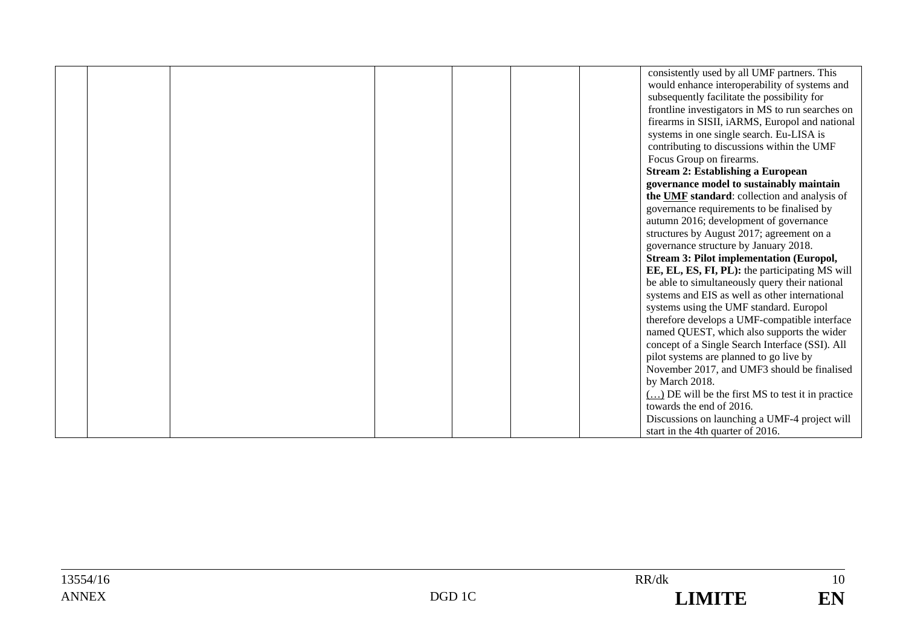|  |  |  | consistently used by all UMF partners. This                                            |
|--|--|--|----------------------------------------------------------------------------------------|
|  |  |  | would enhance interoperability of systems and                                          |
|  |  |  | subsequently facilitate the possibility for                                            |
|  |  |  | frontline investigators in MS to run searches on                                       |
|  |  |  | firearms in SISII, iARMS, Europol and national                                         |
|  |  |  | systems in one single search. Eu-LISA is                                               |
|  |  |  | contributing to discussions within the UMF                                             |
|  |  |  | Focus Group on firearms.                                                               |
|  |  |  | <b>Stream 2: Establishing a European</b>                                               |
|  |  |  | governance model to sustainably maintain                                               |
|  |  |  | the UMF standard: collection and analysis of                                           |
|  |  |  | governance requirements to be finalised by                                             |
|  |  |  | autumn 2016; development of governance                                                 |
|  |  |  | structures by August 2017; agreement on a                                              |
|  |  |  | governance structure by January 2018.                                                  |
|  |  |  | <b>Stream 3: Pilot implementation (Europol,</b>                                        |
|  |  |  | EE, EL, ES, FI, PL): the participating MS will                                         |
|  |  |  | be able to simultaneously query their national                                         |
|  |  |  | systems and EIS as well as other international                                         |
|  |  |  | systems using the UMF standard. Europol                                                |
|  |  |  | therefore develops a UMF-compatible interface                                          |
|  |  |  | named QUEST, which also supports the wider                                             |
|  |  |  | concept of a Single Search Interface (SSI). All                                        |
|  |  |  | pilot systems are planned to go live by<br>November 2017, and UMF3 should be finalised |
|  |  |  | by March 2018.                                                                         |
|  |  |  | $\overline{(\dots)}$ DE will be the first MS to test it in practice                    |
|  |  |  | towards the end of 2016.                                                               |
|  |  |  | Discussions on launching a UMF-4 project will                                          |
|  |  |  | start in the 4th quarter of 2016.                                                      |
|  |  |  |                                                                                        |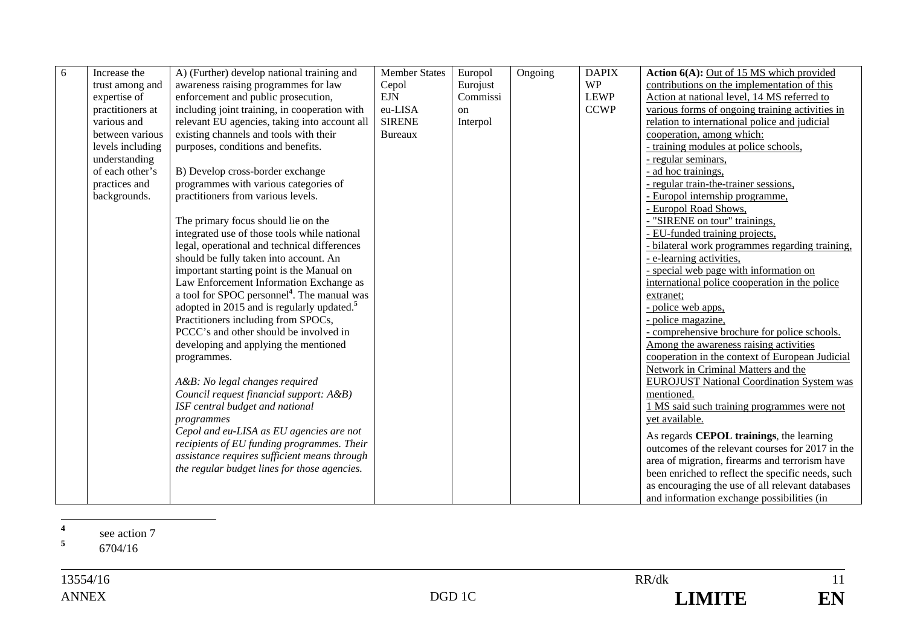| 6 | Increase the     | A) (Further) develop national training and              | <b>Member States</b> | Europol       | Ongoing | <b>DAPIX</b> | Action 6(A): Out of 15 MS which provided          |
|---|------------------|---------------------------------------------------------|----------------------|---------------|---------|--------------|---------------------------------------------------|
|   | trust among and  | awareness raising programmes for law                    | Cepol                | Eurojust      |         | <b>WP</b>    | contributions on the implementation of this       |
|   | expertise of     | enforcement and public prosecution,                     | <b>EJN</b>           | Commissi      |         | <b>LEWP</b>  | Action at national level, 14 MS referred to       |
|   | practitioners at | including joint training, in cooperation with           | eu-LISA              | <sub>on</sub> |         | <b>CCWP</b>  | various forms of ongoing training activities in   |
|   | various and      | relevant EU agencies, taking into account all           | <b>SIRENE</b>        | Interpol      |         |              | relation to international police and judicial     |
|   | between various  | existing channels and tools with their                  | <b>Bureaux</b>       |               |         |              | cooperation, among which:                         |
|   | levels including | purposes, conditions and benefits.                      |                      |               |         |              | - training modules at police schools,             |
|   | understanding    |                                                         |                      |               |         |              | - regular seminars,                               |
|   | of each other's  | B) Develop cross-border exchange                        |                      |               |         |              | - ad hoc trainings,                               |
|   | practices and    | programmes with various categories of                   |                      |               |         |              | - regular train-the-trainer sessions,             |
|   | backgrounds.     | practitioners from various levels.                      |                      |               |         |              | - Europol internship programme,                   |
|   |                  |                                                         |                      |               |         |              | - Europol Road Shows,                             |
|   |                  | The primary focus should lie on the                     |                      |               |         |              | - "SIRENE on tour" trainings,                     |
|   |                  | integrated use of those tools while national            |                      |               |         |              | - EU-funded training projects,                    |
|   |                  | legal, operational and technical differences            |                      |               |         |              | - bilateral work programmes regarding training,   |
|   |                  | should be fully taken into account. An                  |                      |               |         |              | - e-learning activities,                          |
|   |                  | important starting point is the Manual on               |                      |               |         |              | - special web page with information on            |
|   |                  | Law Enforcement Information Exchange as                 |                      |               |         |              | international police cooperation in the police    |
|   |                  | a tool for SPOC personnel <sup>4</sup> . The manual was |                      |               |         |              | extranet;                                         |
|   |                  | adopted in 2015 and is regularly updated. <sup>5</sup>  |                      |               |         |              | - police web apps,                                |
|   |                  | Practitioners including from SPOCs,                     |                      |               |         |              | - police magazine,                                |
|   |                  | PCCC's and other should be involved in                  |                      |               |         |              | - comprehensive brochure for police schools.      |
|   |                  | developing and applying the mentioned                   |                      |               |         |              | Among the awareness raising activities            |
|   |                  | programmes.                                             |                      |               |         |              | cooperation in the context of European Judicial   |
|   |                  |                                                         |                      |               |         |              | Network in Criminal Matters and the               |
|   |                  | A&B: No legal changes required                          |                      |               |         |              | <b>EUROJUST National Coordination System was</b>  |
|   |                  | Council request financial support: A&B)                 |                      |               |         |              | mentioned.                                        |
|   |                  | ISF central budget and national                         |                      |               |         |              | 1 MS said such training programmes were not       |
|   |                  | programmes                                              |                      |               |         |              | yet available.                                    |
|   |                  | Cepol and eu-LISA as EU agencies are not                |                      |               |         |              | As regards <b>CEPOL</b> trainings, the learning   |
|   |                  | recipients of EU funding programmes. Their              |                      |               |         |              | outcomes of the relevant courses for 2017 in the  |
|   |                  | assistance requires sufficient means through            |                      |               |         |              | area of migration, firearms and terrorism have    |
|   |                  | the regular budget lines for those agencies.            |                      |               |         |              | been enriched to reflect the specific needs, such |
|   |                  |                                                         |                      |               |         |              | as encouraging the use of all relevant databases  |
|   |                  |                                                         |                      |               |         |              | and information exchange possibilities (in        |

**4**<sup>4</sup> see action 7 **5**

6704/16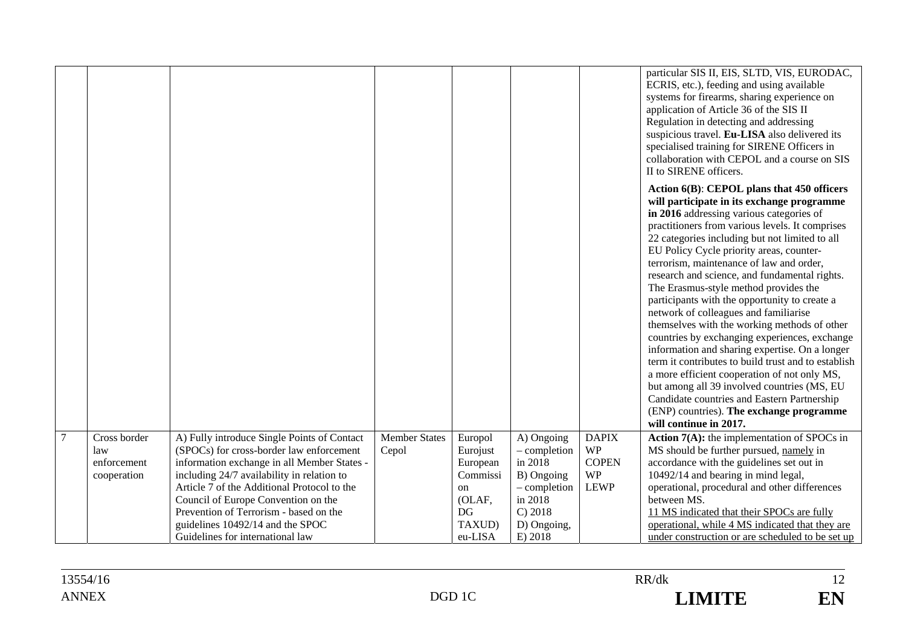|                |                                                   |                                                                                                                                                                                                                                                                                                                                                                                              |                               |                                                                                                   |                                                                                                                     |                                                                       | particular SIS II, EIS, SLTD, VIS, EURODAC,<br>ECRIS, etc.), feeding and using available<br>systems for firearms, sharing experience on<br>application of Article 36 of the SIS II<br>Regulation in detecting and addressing<br>suspicious travel. Eu-LISA also delivered its<br>specialised training for SIRENE Officers in<br>collaboration with CEPOL and a course on SIS<br>II to SIRENE officers.                                                                                                                                                                                                                                                                                                                                                                                                                                                                                                                                              |
|----------------|---------------------------------------------------|----------------------------------------------------------------------------------------------------------------------------------------------------------------------------------------------------------------------------------------------------------------------------------------------------------------------------------------------------------------------------------------------|-------------------------------|---------------------------------------------------------------------------------------------------|---------------------------------------------------------------------------------------------------------------------|-----------------------------------------------------------------------|-----------------------------------------------------------------------------------------------------------------------------------------------------------------------------------------------------------------------------------------------------------------------------------------------------------------------------------------------------------------------------------------------------------------------------------------------------------------------------------------------------------------------------------------------------------------------------------------------------------------------------------------------------------------------------------------------------------------------------------------------------------------------------------------------------------------------------------------------------------------------------------------------------------------------------------------------------|
|                |                                                   |                                                                                                                                                                                                                                                                                                                                                                                              |                               |                                                                                                   |                                                                                                                     |                                                                       | Action 6(B): CEPOL plans that 450 officers<br>will participate in its exchange programme<br>in 2016 addressing various categories of<br>practitioners from various levels. It comprises<br>22 categories including but not limited to all<br>EU Policy Cycle priority areas, counter-<br>terrorism, maintenance of law and order,<br>research and science, and fundamental rights.<br>The Erasmus-style method provides the<br>participants with the opportunity to create a<br>network of colleagues and familiarise<br>themselves with the working methods of other<br>countries by exchanging experiences, exchange<br>information and sharing expertise. On a longer<br>term it contributes to build trust and to establish<br>a more efficient cooperation of not only MS,<br>but among all 39 involved countries (MS, EU<br>Candidate countries and Eastern Partnership<br>(ENP) countries). The exchange programme<br>will continue in 2017. |
| $\overline{7}$ | Cross border<br>law<br>enforcement<br>cooperation | A) Fully introduce Single Points of Contact<br>(SPOCs) for cross-border law enforcement<br>information exchange in all Member States -<br>including 24/7 availability in relation to<br>Article 7 of the Additional Protocol to the<br>Council of Europe Convention on the<br>Prevention of Terrorism - based on the<br>guidelines 10492/14 and the SPOC<br>Guidelines for international law | <b>Member States</b><br>Cepol | Europol<br>Eurojust<br>European<br>Commissi<br><sub>on</sub><br>(OLAF,<br>DG<br>TAXUD)<br>eu-LISA | A) Ongoing<br>- completion<br>in 2018<br>B) Ongoing<br>- completion<br>in 2018<br>C) 2018<br>D) Ongoing,<br>E) 2018 | <b>DAPIX</b><br><b>WP</b><br><b>COPEN</b><br><b>WP</b><br><b>LEWP</b> | <b>Action 7(A):</b> the implementation of SPOCs in<br>MS should be further pursued, namely in<br>accordance with the guidelines set out in<br>10492/14 and bearing in mind legal,<br>operational, procedural and other differences<br>between MS.<br>11 MS indicated that their SPOCs are fully<br>operational, while 4 MS indicated that they are<br>under construction or are scheduled to be set up                                                                                                                                                                                                                                                                                                                                                                                                                                                                                                                                              |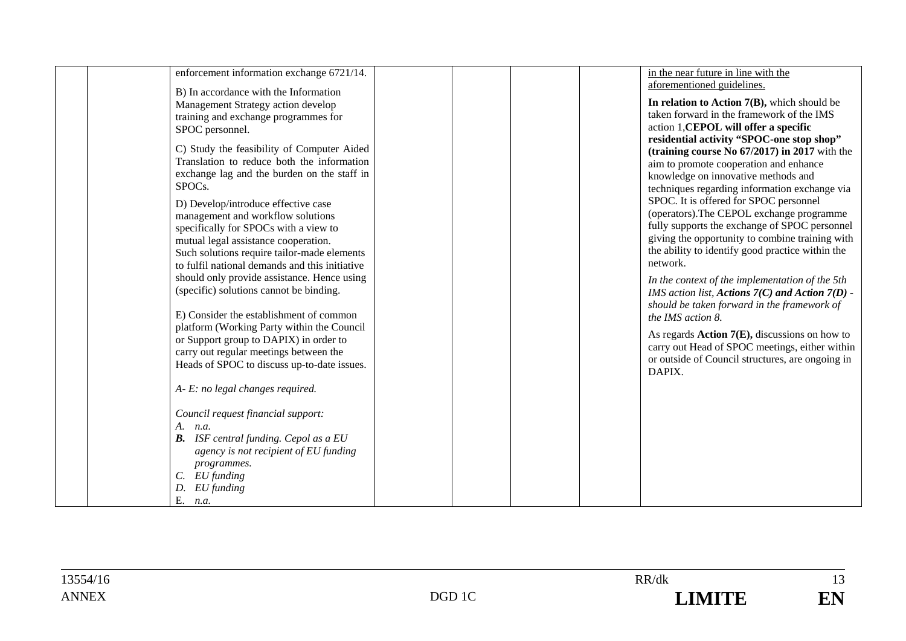| enforcement information exchange 6721/14.      | in the near future in line with the                 |
|------------------------------------------------|-----------------------------------------------------|
| B) In accordance with the Information          | aforementioned guidelines.                          |
| Management Strategy action develop             | In relation to Action $7(B)$ , which should be      |
| training and exchange programmes for           | taken forward in the framework of the IMS           |
| SPOC personnel.                                | action 1, CEPOL will offer a specific               |
|                                                | residential activity "SPOC-one stop shop"           |
| C) Study the feasibility of Computer Aided     | (training course No $67/2017$ ) in 2017 with the    |
| Translation to reduce both the information     | aim to promote cooperation and enhance              |
| exchange lag and the burden on the staff in    | knowledge on innovative methods and                 |
| SPOC <sub>s</sub> .                            | techniques regarding information exchange via       |
| D) Develop/introduce effective case            | SPOC. It is offered for SPOC personnel              |
| management and workflow solutions              | (operators). The CEPOL exchange programme           |
| specifically for SPOCs with a view to          | fully supports the exchange of SPOC personnel       |
| mutual legal assistance cooperation.           | giving the opportunity to combine training with     |
| Such solutions require tailor-made elements    | the ability to identify good practice within the    |
| to fulfil national demands and this initiative | network.                                            |
| should only provide assistance. Hence using    | In the context of the implementation of the 5th     |
| (specific) solutions cannot be binding.        | IMS action list, Actions $7(C)$ and Action $7(D)$ - |
|                                                | should be taken forward in the framework of         |
| E) Consider the establishment of common        | the IMS action 8.                                   |
| platform (Working Party within the Council     | As regards $Action 7(E)$ , discussions on how to    |
| or Support group to DAPIX) in order to         | carry out Head of SPOC meetings, either within      |
| carry out regular meetings between the         | or outside of Council structures, are ongoing in    |
| Heads of SPOC to discuss up-to-date issues.    | DAPIX.                                              |
|                                                |                                                     |
| A- E: no legal changes required.               |                                                     |
| Council request financial support:             |                                                     |
| A. <i>n.a.</i>                                 |                                                     |
| <b>B.</b> ISF central funding. Cepol as a EU   |                                                     |
| agency is not recipient of EU funding          |                                                     |
| programmes.                                    |                                                     |
| $C.$ EU funding                                |                                                     |
| D. EU funding                                  |                                                     |
| Ε.<br>n.a.                                     |                                                     |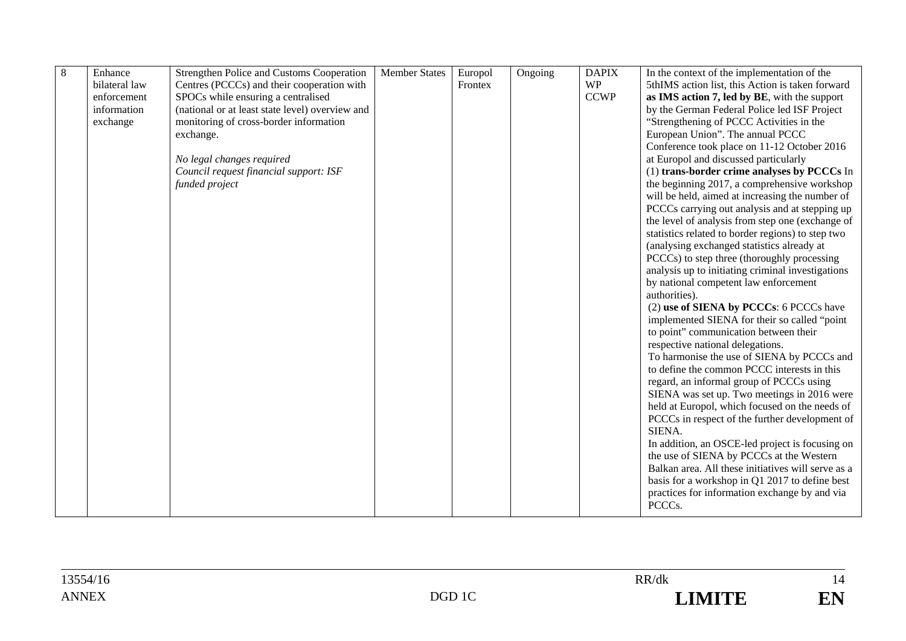| $\,8\,$ | Enhance       | Strengthen Police and Customs Cooperation       | <b>Member States</b> | Europol | Ongoing | <b>DAPIX</b> | In the context of the implementation of the        |
|---------|---------------|-------------------------------------------------|----------------------|---------|---------|--------------|----------------------------------------------------|
|         | bilateral law | Centres (PCCCs) and their cooperation with      |                      | Frontex |         | <b>WP</b>    | 5thIMS action list, this Action is taken forward   |
|         | enforcement   | SPOCs while ensuring a centralised              |                      |         |         | <b>CCWP</b>  | as IMS action 7, led by BE, with the support       |
|         | information   | (national or at least state level) overview and |                      |         |         |              | by the German Federal Police led ISF Project       |
|         | exchange      | monitoring of cross-border information          |                      |         |         |              | "Strengthening of PCCC Activities in the           |
|         |               | exchange.                                       |                      |         |         |              | European Union". The annual PCCC                   |
|         |               |                                                 |                      |         |         |              | Conference took place on 11-12 October 2016        |
|         |               | No legal changes required                       |                      |         |         |              | at Europol and discussed particularly              |
|         |               | Council request financial support: ISF          |                      |         |         |              | (1) trans-border crime analyses by PCCCs In        |
|         |               | funded project                                  |                      |         |         |              | the beginning 2017, a comprehensive workshop       |
|         |               |                                                 |                      |         |         |              | will be held, aimed at increasing the number of    |
|         |               |                                                 |                      |         |         |              | PCCCs carrying out analysis and at stepping up     |
|         |               |                                                 |                      |         |         |              | the level of analysis from step one (exchange of   |
|         |               |                                                 |                      |         |         |              | statistics related to border regions) to step two  |
|         |               |                                                 |                      |         |         |              | (analysing exchanged statistics already at         |
|         |               |                                                 |                      |         |         |              | PCCCs) to step three (thoroughly processing        |
|         |               |                                                 |                      |         |         |              | analysis up to initiating criminal investigations  |
|         |               |                                                 |                      |         |         |              | by national competent law enforcement              |
|         |               |                                                 |                      |         |         |              | authorities).                                      |
|         |               |                                                 |                      |         |         |              | (2) use of SIENA by PCCCs: 6 PCCCs have            |
|         |               |                                                 |                      |         |         |              | implemented SIENA for their so called "point       |
|         |               |                                                 |                      |         |         |              | to point" communication between their              |
|         |               |                                                 |                      |         |         |              | respective national delegations.                   |
|         |               |                                                 |                      |         |         |              | To harmonise the use of SIENA by PCCCs and         |
|         |               |                                                 |                      |         |         |              | to define the common PCCC interests in this        |
|         |               |                                                 |                      |         |         |              | regard, an informal group of PCCCs using           |
|         |               |                                                 |                      |         |         |              | SIENA was set up. Two meetings in 2016 were        |
|         |               |                                                 |                      |         |         |              | held at Europol, which focused on the needs of     |
|         |               |                                                 |                      |         |         |              | PCCCs in respect of the further development of     |
|         |               |                                                 |                      |         |         |              | SIENA.                                             |
|         |               |                                                 |                      |         |         |              | In addition, an OSCE-led project is focusing on    |
|         |               |                                                 |                      |         |         |              | the use of SIENA by PCCCs at the Western           |
|         |               |                                                 |                      |         |         |              | Balkan area. All these initiatives will serve as a |
|         |               |                                                 |                      |         |         |              | basis for a workshop in Q1 2017 to define best     |
|         |               |                                                 |                      |         |         |              | practices for information exchange by and via      |
|         |               |                                                 |                      |         |         |              | PCCCs.                                             |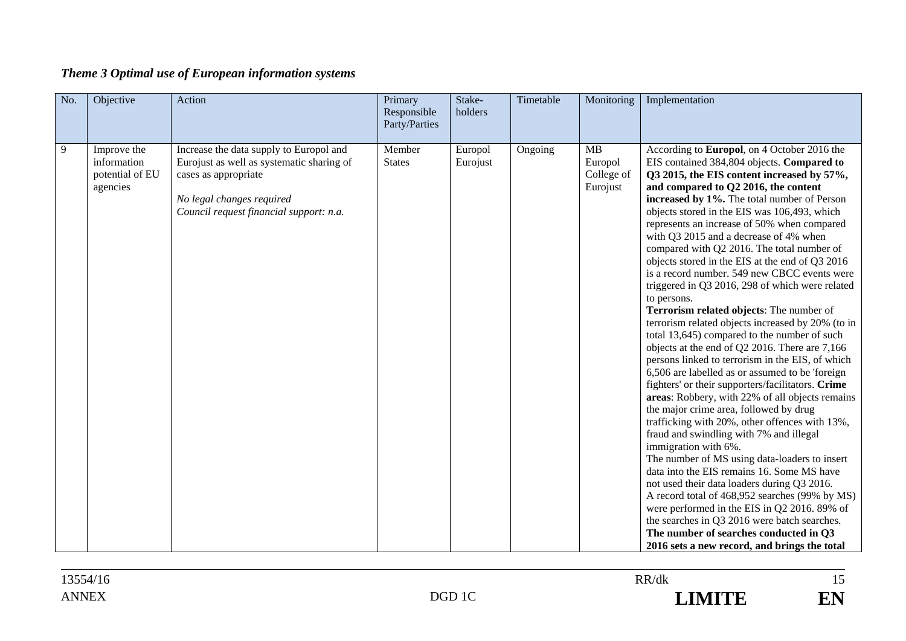| Theme 3 Optimal use of European information systems |  |  |  |
|-----------------------------------------------------|--|--|--|
|                                                     |  |  |  |

| No. | Objective                                                 | Action                                                                                                                                                                               | Primary<br>Responsible<br>Party/Parties | Stake-<br>holders   | Timetable | Monitoring                                     | Implementation                                                                                                                                                                                                                                                                                                                                                                                                                                                                                                                                                                                                                                                                                                                                                                                                                                                                                                                                                                                                                                                                                                                                                                                                                                                                                                                                                                                                                                                                                                                                                        |
|-----|-----------------------------------------------------------|--------------------------------------------------------------------------------------------------------------------------------------------------------------------------------------|-----------------------------------------|---------------------|-----------|------------------------------------------------|-----------------------------------------------------------------------------------------------------------------------------------------------------------------------------------------------------------------------------------------------------------------------------------------------------------------------------------------------------------------------------------------------------------------------------------------------------------------------------------------------------------------------------------------------------------------------------------------------------------------------------------------------------------------------------------------------------------------------------------------------------------------------------------------------------------------------------------------------------------------------------------------------------------------------------------------------------------------------------------------------------------------------------------------------------------------------------------------------------------------------------------------------------------------------------------------------------------------------------------------------------------------------------------------------------------------------------------------------------------------------------------------------------------------------------------------------------------------------------------------------------------------------------------------------------------------------|
| 9   | Improve the<br>information<br>potential of EU<br>agencies | Increase the data supply to Europol and<br>Eurojust as well as systematic sharing of<br>cases as appropriate<br>No legal changes required<br>Council request financial support: n.a. | Member<br><b>States</b>                 | Europol<br>Eurojust | Ongoing   | <b>MB</b><br>Europol<br>College of<br>Eurojust | According to Europol, on 4 October 2016 the<br>EIS contained 384,804 objects. Compared to<br>Q3 2015, the EIS content increased by 57%,<br>and compared to Q2 2016, the content<br>increased by 1%. The total number of Person<br>objects stored in the EIS was 106,493, which<br>represents an increase of 50% when compared<br>with Q3 2015 and a decrease of 4% when<br>compared with Q2 2016. The total number of<br>objects stored in the EIS at the end of Q3 2016<br>is a record number. 549 new CBCC events were<br>triggered in Q3 2016, 298 of which were related<br>to persons.<br>Terrorism related objects: The number of<br>terrorism related objects increased by 20% (to in<br>total 13,645) compared to the number of such<br>objects at the end of Q2 2016. There are 7,166<br>persons linked to terrorism in the EIS, of which<br>6,506 are labelled as or assumed to be 'foreign<br>fighters' or their supporters/facilitators. Crime<br>areas: Robbery, with 22% of all objects remains<br>the major crime area, followed by drug<br>trafficking with 20%, other offences with 13%,<br>fraud and swindling with 7% and illegal<br>immigration with 6%.<br>The number of MS using data-loaders to insert<br>data into the EIS remains 16. Some MS have<br>not used their data loaders during Q3 2016.<br>A record total of 468,952 searches (99% by MS)<br>were performed in the EIS in Q2 2016. 89% of<br>the searches in Q3 2016 were batch searches.<br>The number of searches conducted in Q3<br>2016 sets a new record, and brings the total |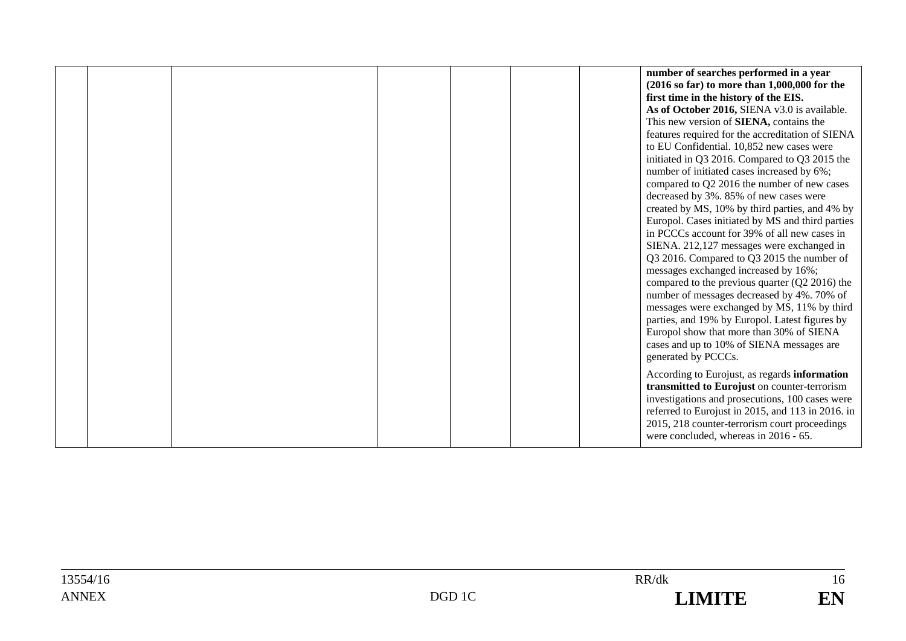|  |  |  | number of searches performed in a year<br>$(2016 \text{ so far})$ to more than 1,000,000 for the<br>first time in the history of the EIS.<br>As of October 2016, SIENA v3.0 is available.<br>This new version of SIENA, contains the<br>features required for the accreditation of SIENA        |
|--|--|--|-------------------------------------------------------------------------------------------------------------------------------------------------------------------------------------------------------------------------------------------------------------------------------------------------|
|  |  |  | to EU Confidential. 10,852 new cases were<br>initiated in Q3 2016. Compared to Q3 2015 the<br>number of initiated cases increased by 6%;<br>compared to Q2 2016 the number of new cases                                                                                                         |
|  |  |  | decreased by 3%. 85% of new cases were<br>created by MS, 10% by third parties, and 4% by<br>Europol. Cases initiated by MS and third parties<br>in PCCCs account for 39% of all new cases in<br>SIENA. 212,127 messages were exchanged in                                                       |
|  |  |  | Q3 2016. Compared to Q3 2015 the number of<br>messages exchanged increased by 16%;<br>compared to the previous quarter $(Q2 2016)$ the<br>number of messages decreased by 4%. 70% of                                                                                                            |
|  |  |  | messages were exchanged by MS, 11% by third<br>parties, and 19% by Europol. Latest figures by<br>Europol show that more than 30% of SIENA<br>cases and up to 10% of SIENA messages are<br>generated by PCCCs.                                                                                   |
|  |  |  | According to Eurojust, as regards information<br>transmitted to Eurojust on counter-terrorism<br>investigations and prosecutions, 100 cases were<br>referred to Eurojust in 2015, and 113 in 2016. in<br>2015, 218 counter-terrorism court proceedings<br>were concluded, whereas in 2016 - 65. |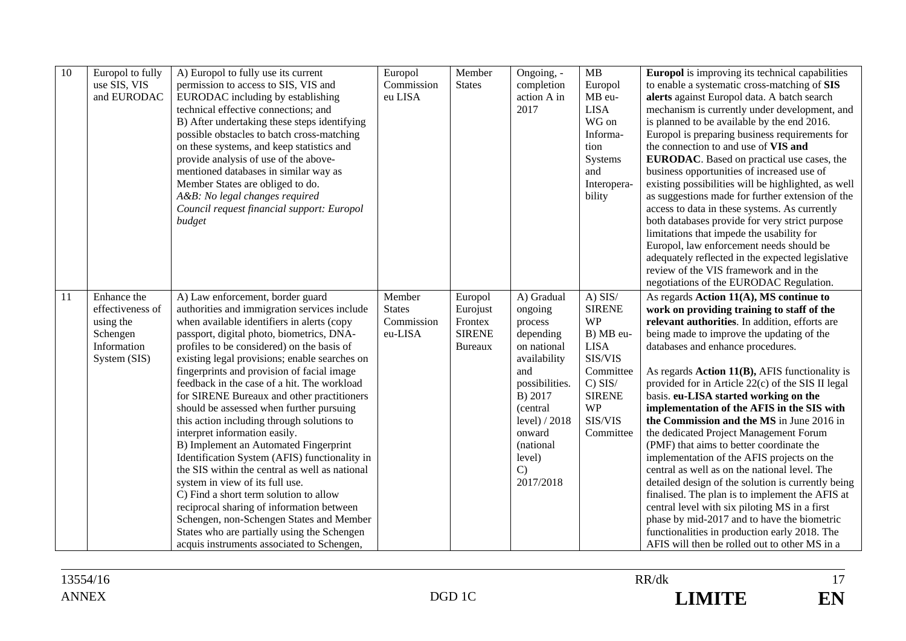| 10 | Europol to fully<br>use SIS, VIS<br>and EURODAC                                         | A) Europol to fully use its current<br>permission to access to SIS, VIS and<br>EURODAC including by establishing<br>technical effective connections; and<br>B) After undertaking these steps identifying<br>possible obstacles to batch cross-matching<br>on these systems, and keep statistics and<br>provide analysis of use of the above-<br>mentioned databases in similar way as<br>Member States are obliged to do.<br>A&B: No legal changes required<br>Council request financial support: Europol<br>budget                                                                                                                                                                                                                                                                                                                                                                                                                                             | Europol<br>Commission<br>eu LISA                 | Member<br><b>States</b>                                           | Ongoing, -<br>completion<br>action A in<br>2017                                                                                                                                                              | MB<br>Europol<br>MB eu-<br><b>LISA</b><br>WG on<br>Informa-<br>tion<br>Systems<br>and<br>Interopera-<br>bility                                                 | <b>Europol</b> is improving its technical capabilities<br>to enable a systematic cross-matching of SIS<br>alerts against Europol data. A batch search<br>mechanism is currently under development, and<br>is planned to be available by the end 2016.<br>Europol is preparing business requirements for<br>the connection to and use of VIS and<br><b>EURODAC</b> . Based on practical use cases, the<br>business opportunities of increased use of<br>existing possibilities will be highlighted, as well<br>as suggestions made for further extension of the<br>access to data in these systems. As currently<br>both databases provide for very strict purpose<br>limitations that impede the usability for<br>Europol, law enforcement needs should be<br>adequately reflected in the expected legislative<br>review of the VIS framework and in the<br>negotiations of the EURODAC Regulation.                                                                     |
|----|-----------------------------------------------------------------------------------------|-----------------------------------------------------------------------------------------------------------------------------------------------------------------------------------------------------------------------------------------------------------------------------------------------------------------------------------------------------------------------------------------------------------------------------------------------------------------------------------------------------------------------------------------------------------------------------------------------------------------------------------------------------------------------------------------------------------------------------------------------------------------------------------------------------------------------------------------------------------------------------------------------------------------------------------------------------------------|--------------------------------------------------|-------------------------------------------------------------------|--------------------------------------------------------------------------------------------------------------------------------------------------------------------------------------------------------------|----------------------------------------------------------------------------------------------------------------------------------------------------------------|-------------------------------------------------------------------------------------------------------------------------------------------------------------------------------------------------------------------------------------------------------------------------------------------------------------------------------------------------------------------------------------------------------------------------------------------------------------------------------------------------------------------------------------------------------------------------------------------------------------------------------------------------------------------------------------------------------------------------------------------------------------------------------------------------------------------------------------------------------------------------------------------------------------------------------------------------------------------------|
| 11 | Enhance the<br>effectiveness of<br>using the<br>Schengen<br>Information<br>System (SIS) | A) Law enforcement, border guard<br>authorities and immigration services include<br>when available identifiers in alerts (copy<br>passport, digital photo, biometrics, DNA-<br>profiles to be considered) on the basis of<br>existing legal provisions; enable searches on<br>fingerprints and provision of facial image<br>feedback in the case of a hit. The workload<br>for SIRENE Bureaux and other practitioners<br>should be assessed when further pursuing<br>this action including through solutions to<br>interpret information easily.<br>B) Implement an Automated Fingerprint<br>Identification System (AFIS) functionality in<br>the SIS within the central as well as national<br>system in view of its full use.<br>C) Find a short term solution to allow<br>reciprocal sharing of information between<br>Schengen, non-Schengen States and Member<br>States who are partially using the Schengen<br>acquis instruments associated to Schengen, | Member<br><b>States</b><br>Commission<br>eu-LISA | Europol<br>Eurojust<br>Frontex<br><b>SIRENE</b><br><b>Bureaux</b> | A) Gradual<br>ongoing<br>process<br>depending<br>on national<br>availability<br>and<br>possibilities.<br>B) 2017<br>(central<br>level) / 2018<br>onward<br>(national<br>level)<br>$\mathcal{C}$<br>2017/2018 | $A)$ SIS/<br><b>SIRENE</b><br><b>WP</b><br>B) MB eu-<br><b>LISA</b><br>SIS/VIS<br>Committee<br>$C)$ SIS/<br><b>SIRENE</b><br><b>WP</b><br>SIS/VIS<br>Committee | As regards Action 11(A), MS continue to<br>work on providing training to staff of the<br>relevant authorities. In addition, efforts are<br>being made to improve the updating of the<br>databases and enhance procedures.<br>As regards $Action 11(B)$ , AFIS functionality is<br>provided for in Article 22(c) of the SIS II legal<br>basis. eu-LISA started working on the<br>implementation of the AFIS in the SIS with<br>the Commission and the MS in June 2016 in<br>the dedicated Project Management Forum<br>(PMF) that aims to better coordinate the<br>implementation of the AFIS projects on the<br>central as well as on the national level. The<br>detailed design of the solution is currently being<br>finalised. The plan is to implement the AFIS at<br>central level with six piloting MS in a first<br>phase by mid-2017 and to have the biometric<br>functionalities in production early 2018. The<br>AFIS will then be rolled out to other MS in a |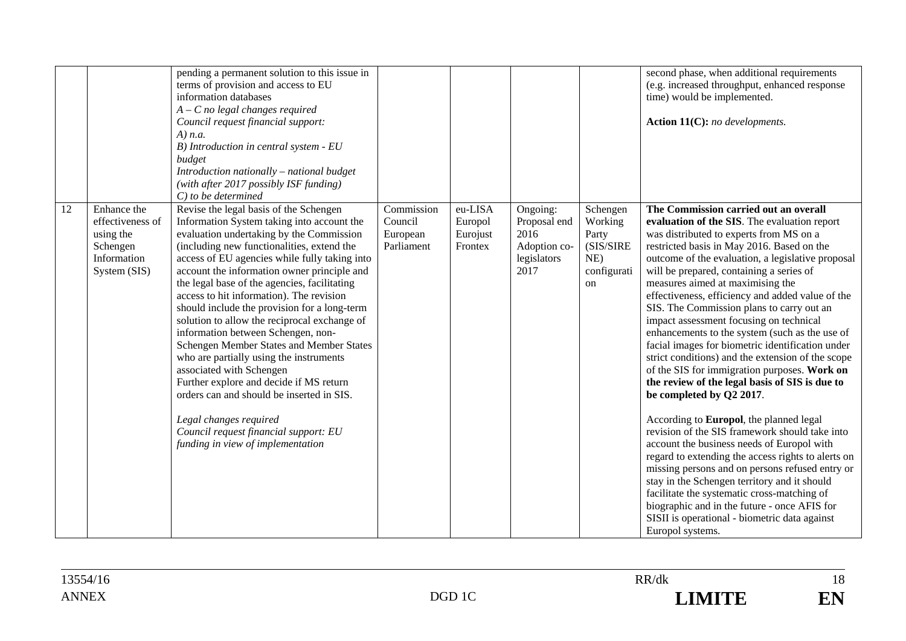|    |                                                                                         | pending a permanent solution to this issue in<br>terms of provision and access to EU<br>information databases<br>$A - C$ no legal changes required<br>Council request financial support:<br>$A)$ n.a.<br>B) Introduction in central system - EU<br>budget<br>Introduction nationally - national budget<br>(with after 2017 possibly ISF funding)<br>$C$ ) to be determined                                                                                                                                                                                                                                                                                                                                                                                                                                                          |                                                 |                                           |                                                                         |                                                                       | second phase, when additional requirements<br>(e.g. increased throughput, enhanced response<br>time) would be implemented.<br>Action 11(C): no developments.                                                                                                                                                                                                                                                                                                                                                                                                                                                                                                                                                                                                                                                                                                                                                                                                                                                                                                                                                                                                                                                                     |
|----|-----------------------------------------------------------------------------------------|-------------------------------------------------------------------------------------------------------------------------------------------------------------------------------------------------------------------------------------------------------------------------------------------------------------------------------------------------------------------------------------------------------------------------------------------------------------------------------------------------------------------------------------------------------------------------------------------------------------------------------------------------------------------------------------------------------------------------------------------------------------------------------------------------------------------------------------|-------------------------------------------------|-------------------------------------------|-------------------------------------------------------------------------|-----------------------------------------------------------------------|----------------------------------------------------------------------------------------------------------------------------------------------------------------------------------------------------------------------------------------------------------------------------------------------------------------------------------------------------------------------------------------------------------------------------------------------------------------------------------------------------------------------------------------------------------------------------------------------------------------------------------------------------------------------------------------------------------------------------------------------------------------------------------------------------------------------------------------------------------------------------------------------------------------------------------------------------------------------------------------------------------------------------------------------------------------------------------------------------------------------------------------------------------------------------------------------------------------------------------|
| 12 | Enhance the<br>effectiveness of<br>using the<br>Schengen<br>Information<br>System (SIS) | Revise the legal basis of the Schengen<br>Information System taking into account the<br>evaluation undertaking by the Commission<br>(including new functionalities, extend the<br>access of EU agencies while fully taking into<br>account the information owner principle and<br>the legal base of the agencies, facilitating<br>access to hit information). The revision<br>should include the provision for a long-term<br>solution to allow the reciprocal exchange of<br>information between Schengen, non-<br>Schengen Member States and Member States<br>who are partially using the instruments<br>associated with Schengen<br>Further explore and decide if MS return<br>orders can and should be inserted in SIS.<br>Legal changes required<br>Council request financial support: EU<br>funding in view of implementation | Commission<br>Council<br>European<br>Parliament | eu-LISA<br>Europol<br>Eurojust<br>Frontex | Ongoing:<br>Proposal end<br>2016<br>Adoption co-<br>legislators<br>2017 | Schengen<br>Working<br>Party<br>(SIS/SIRE<br>NE)<br>configurati<br>on | The Commission carried out an overall<br>evaluation of the SIS. The evaluation report<br>was distributed to experts from MS on a<br>restricted basis in May 2016. Based on the<br>outcome of the evaluation, a legislative proposal<br>will be prepared, containing a series of<br>measures aimed at maximising the<br>effectiveness, efficiency and added value of the<br>SIS. The Commission plans to carry out an<br>impact assessment focusing on technical<br>enhancements to the system (such as the use of<br>facial images for biometric identification under<br>strict conditions) and the extension of the scope<br>of the SIS for immigration purposes. Work on<br>the review of the legal basis of SIS is due to<br>be completed by Q2 2017.<br>According to Europol, the planned legal<br>revision of the SIS framework should take into<br>account the business needs of Europol with<br>regard to extending the access rights to alerts on<br>missing persons and on persons refused entry or<br>stay in the Schengen territory and it should<br>facilitate the systematic cross-matching of<br>biographic and in the future - once AFIS for<br>SISII is operational - biometric data against<br>Europol systems. |

18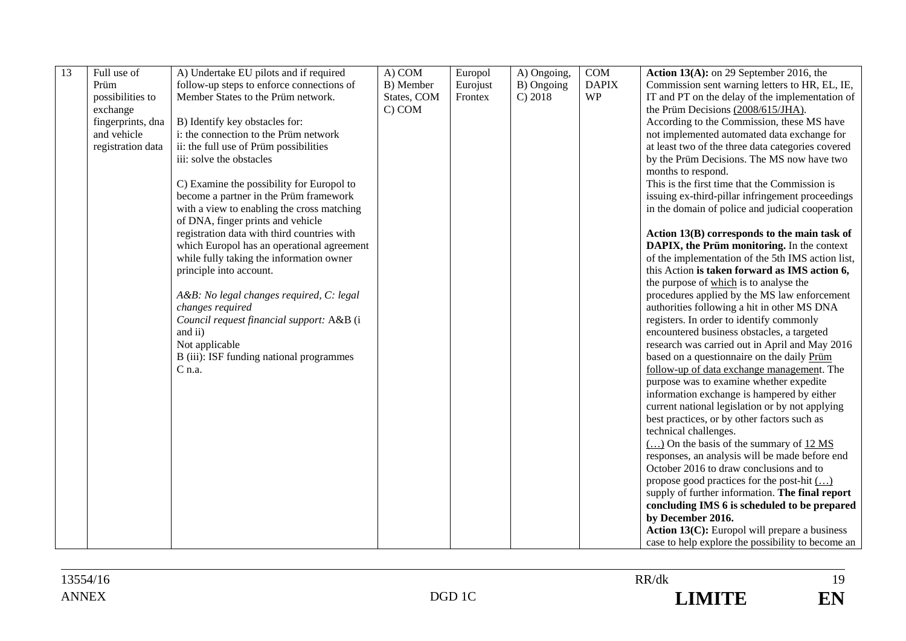| 13 | Full use of       | A) Undertake EU pilots and if required      | A) COM      | Europol  | A) Ongoing, | COM          | Action $13(A)$ : on 29 September 2016, the                          |
|----|-------------------|---------------------------------------------|-------------|----------|-------------|--------------|---------------------------------------------------------------------|
|    | Prüm              | follow-up steps to enforce connections of   | B) Member   | Eurojust | B) Ongoing  | <b>DAPIX</b> | Commission sent warning letters to HR, EL, IE,                      |
|    | possibilities to  | Member States to the Prüm network.          | States, COM | Frontex  | C) 2018     | <b>WP</b>    | IT and PT on the delay of the implementation of                     |
|    | exchange          |                                             | C) COM      |          |             |              | the Prüm Decisions (2008/615/JHA).                                  |
|    | fingerprints, dna | B) Identify key obstacles for:              |             |          |             |              | According to the Commission, these MS have                          |
|    | and vehicle       | i: the connection to the Prüm network       |             |          |             |              | not implemented automated data exchange for                         |
|    | registration data | ii: the full use of Prüm possibilities      |             |          |             |              | at least two of the three data categories covered                   |
|    |                   | iii: solve the obstacles                    |             |          |             |              | by the Prüm Decisions. The MS now have two                          |
|    |                   |                                             |             |          |             |              | months to respond.                                                  |
|    |                   | C) Examine the possibility for Europol to   |             |          |             |              | This is the first time that the Commission is                       |
|    |                   | become a partner in the Prüm framework      |             |          |             |              | issuing ex-third-pillar infringement proceedings                    |
|    |                   | with a view to enabling the cross matching  |             |          |             |              | in the domain of police and judicial cooperation                    |
|    |                   | of DNA, finger prints and vehicle           |             |          |             |              |                                                                     |
|    |                   | registration data with third countries with |             |          |             |              | Action 13(B) corresponds to the main task of                        |
|    |                   | which Europol has an operational agreement  |             |          |             |              | DAPIX, the Prüm monitoring. In the context                          |
|    |                   | while fully taking the information owner    |             |          |             |              | of the implementation of the 5th IMS action list,                   |
|    |                   | principle into account.                     |             |          |             |              | this Action is taken forward as IMS action 6,                       |
|    |                   |                                             |             |          |             |              | the purpose of which is to analyse the                              |
|    |                   | A&B: No legal changes required, C: legal    |             |          |             |              | procedures applied by the MS law enforcement                        |
|    |                   | changes required                            |             |          |             |              | authorities following a hit in other MS DNA                         |
|    |                   |                                             |             |          |             |              |                                                                     |
|    |                   | Council request financial support: A&B (i   |             |          |             |              | registers. In order to identify commonly                            |
|    |                   | and ii)                                     |             |          |             |              | encountered business obstacles, a targeted                          |
|    |                   | Not applicable                              |             |          |             |              | research was carried out in April and May 2016                      |
|    |                   | B (iii): ISF funding national programmes    |             |          |             |              | based on a questionnaire on the daily Prüm                          |
|    |                   | $C$ n.a.                                    |             |          |             |              | follow-up of data exchange management. The                          |
|    |                   |                                             |             |          |             |              | purpose was to examine whether expedite                             |
|    |                   |                                             |             |          |             |              | information exchange is hampered by either                          |
|    |                   |                                             |             |          |             |              | current national legislation or by not applying                     |
|    |                   |                                             |             |          |             |              | best practices, or by other factors such as                         |
|    |                   |                                             |             |          |             |              | technical challenges.                                               |
|    |                   |                                             |             |          |             |              | $\overline{(\dots)}$ On the basis of the summary of $12 \text{ MS}$ |
|    |                   |                                             |             |          |             |              | responses, an analysis will be made before end                      |
|    |                   |                                             |             |          |             |              | October 2016 to draw conclusions and to                             |
|    |                   |                                             |             |          |             |              | propose good practices for the post-hit $(\ldots)$                  |
|    |                   |                                             |             |          |             |              | supply of further information. The final report                     |
|    |                   |                                             |             |          |             |              | concluding IMS 6 is scheduled to be prepared                        |
|    |                   |                                             |             |          |             |              | by December 2016.                                                   |
|    |                   |                                             |             |          |             |              | Action 13(C): Europol will prepare a business                       |
|    |                   |                                             |             |          |             |              | case to help explore the possibility to become an                   |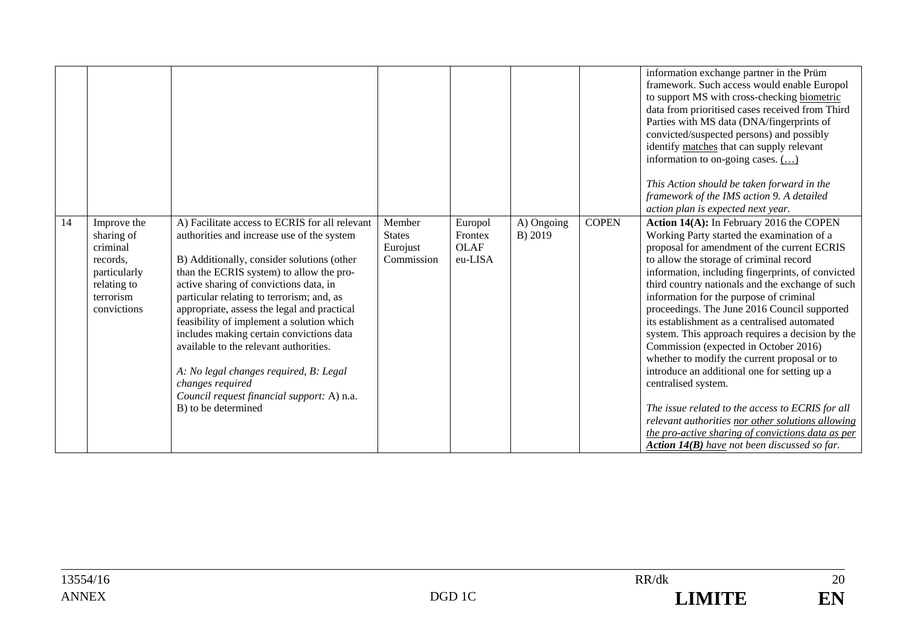|    |                                                                                                              |                                                                                                                                                                                                                                                                                                                                                                                                                                                                                                                                                                                                    |                                                   |                                              |                       |              | information exchange partner in the Prüm<br>framework. Such access would enable Europol<br>to support MS with cross-checking biometric<br>data from prioritised cases received from Third<br>Parties with MS data (DNA/fingerprints of<br>convicted/suspected persons) and possibly<br>identify matches that can supply relevant<br>information to on-going cases. ()<br>This Action should be taken forward in the<br>framework of the IMS action 9. A detailed<br>action plan is expected next year.                                                                                                                                                                                                                                                                                                                                                                        |
|----|--------------------------------------------------------------------------------------------------------------|----------------------------------------------------------------------------------------------------------------------------------------------------------------------------------------------------------------------------------------------------------------------------------------------------------------------------------------------------------------------------------------------------------------------------------------------------------------------------------------------------------------------------------------------------------------------------------------------------|---------------------------------------------------|----------------------------------------------|-----------------------|--------------|-------------------------------------------------------------------------------------------------------------------------------------------------------------------------------------------------------------------------------------------------------------------------------------------------------------------------------------------------------------------------------------------------------------------------------------------------------------------------------------------------------------------------------------------------------------------------------------------------------------------------------------------------------------------------------------------------------------------------------------------------------------------------------------------------------------------------------------------------------------------------------|
| 14 | Improve the<br>sharing of<br>criminal<br>records,<br>particularly<br>relating to<br>terrorism<br>convictions | A) Facilitate access to ECRIS for all relevant<br>authorities and increase use of the system<br>B) Additionally, consider solutions (other<br>than the ECRIS system) to allow the pro-<br>active sharing of convictions data, in<br>particular relating to terrorism; and, as<br>appropriate, assess the legal and practical<br>feasibility of implement a solution which<br>includes making certain convictions data<br>available to the relevant authorities.<br>A: No legal changes required, B: Legal<br>changes required<br>Council request financial support: A) n.a.<br>B) to be determined | Member<br><b>States</b><br>Eurojust<br>Commission | Europol<br>Frontex<br><b>OLAF</b><br>eu-LISA | A) Ongoing<br>B) 2019 | <b>COPEN</b> | Action 14(A): In February 2016 the COPEN<br>Working Party started the examination of a<br>proposal for amendment of the current ECRIS<br>to allow the storage of criminal record<br>information, including fingerprints, of convicted<br>third country nationals and the exchange of such<br>information for the purpose of criminal<br>proceedings. The June 2016 Council supported<br>its establishment as a centralised automated<br>system. This approach requires a decision by the<br>Commission (expected in October 2016)<br>whether to modify the current proposal or to<br>introduce an additional one for setting up a<br>centralised system.<br>The issue related to the access to ECRIS for all<br>relevant authorities nor other solutions allowing<br>the pro-active sharing of convictions data as per<br><b>Action 14(B)</b> have not been discussed so far. |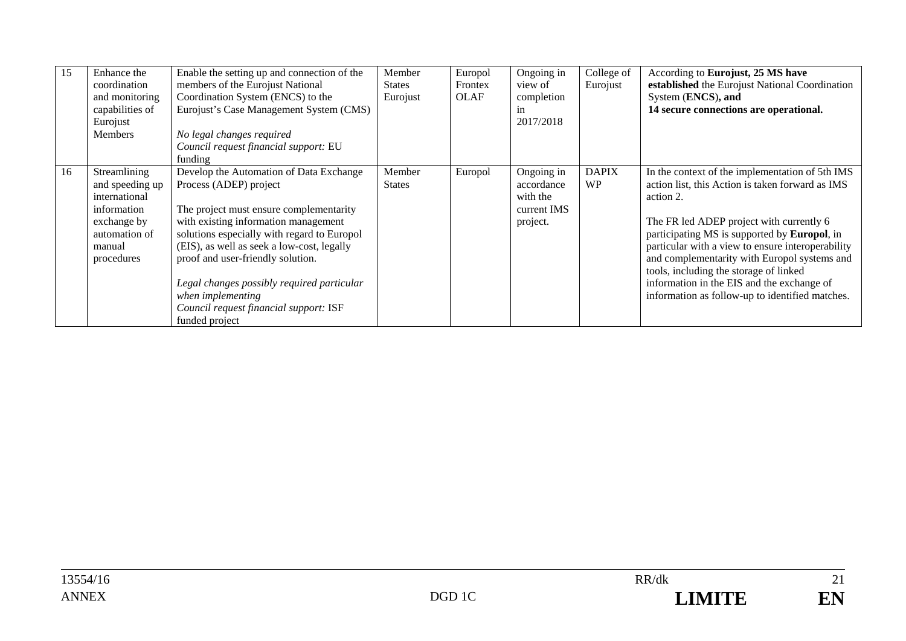| 15 | Enhance the<br>coordination<br>and monitoring<br>capabilities of<br>Eurojust<br><b>Members</b>                          | Enable the setting up and connection of the<br>members of the Eurojust National<br>Coordination System (ENCS) to the<br>Eurojust's Case Management System (CMS)<br>No legal changes required<br>Council request financial support: EU<br>funding                                                                                                                                                                      | Member<br><b>States</b><br>Eurojust | Europol<br>Frontex<br><b>OLAF</b> | Ongoing in<br>view of<br>completion<br>1n<br>2017/2018          | College of<br>Eurojust    | According to Eurojust, 25 MS have<br>established the Eurojust National Coordination<br>System (ENCS), and<br>14 secure connections are operational.                                                                                                                                                                                                                                                                                                                  |
|----|-------------------------------------------------------------------------------------------------------------------------|-----------------------------------------------------------------------------------------------------------------------------------------------------------------------------------------------------------------------------------------------------------------------------------------------------------------------------------------------------------------------------------------------------------------------|-------------------------------------|-----------------------------------|-----------------------------------------------------------------|---------------------------|----------------------------------------------------------------------------------------------------------------------------------------------------------------------------------------------------------------------------------------------------------------------------------------------------------------------------------------------------------------------------------------------------------------------------------------------------------------------|
| 16 | Streamlining<br>and speeding up<br>international<br>information<br>exchange by<br>automation of<br>manual<br>procedures | Develop the Automation of Data Exchange<br>Process (ADEP) project<br>The project must ensure complementarity<br>with existing information management<br>solutions especially with regard to Europol<br>(EIS), as well as seek a low-cost, legally<br>proof and user-friendly solution.<br>Legal changes possibly required particular<br>when implementing<br>Council request financial support: ISF<br>funded project | Member<br><b>States</b>             | Europol                           | Ongoing in<br>accordance<br>with the<br>current IMS<br>project. | <b>DAPIX</b><br><b>WP</b> | In the context of the implementation of 5th IMS<br>action list, this Action is taken forward as IMS<br>action 2.<br>The FR led ADEP project with currently 6<br>participating MS is supported by <b>Europol</b> , in<br>particular with a view to ensure interoperability<br>and complementarity with Europol systems and<br>tools, including the storage of linked<br>information in the EIS and the exchange of<br>information as follow-up to identified matches. |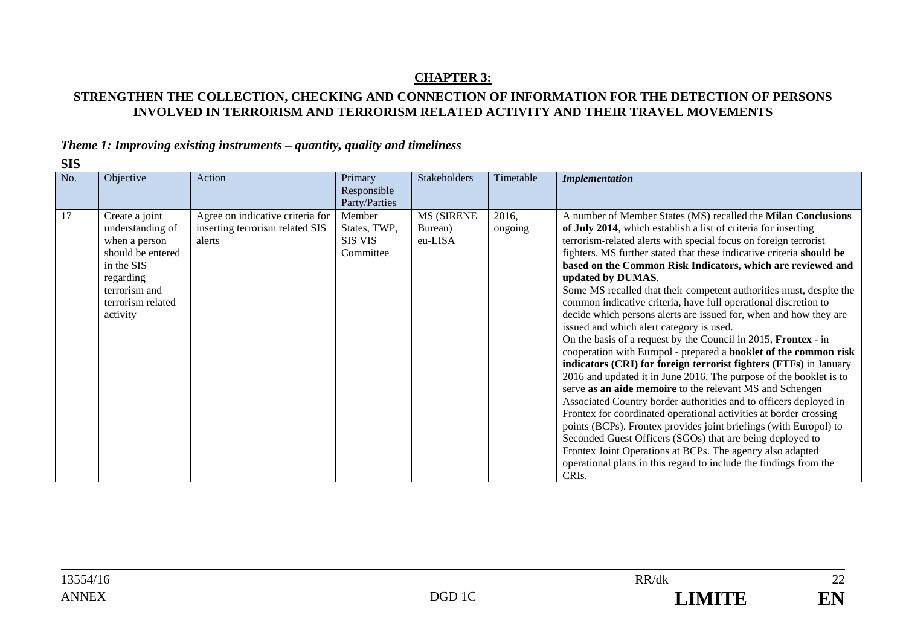## **CHAPTER 3:**

## **STRENGTHEN THE COLLECTION, CHECKING AND CONNECTION OF INFORMATION FOR THE DETECTION OF PERSONS INVOLVED IN TERRORISM AND TERRORISM RELATED ACTIVITY AND THEIR TRAVEL MOVEMENTS**

## *Theme 1: Improving existing instruments – quantity, quality and timeliness*

| ٧<br>۰.<br>×<br>۰, |
|--------------------|
|--------------------|

| No. | Objective                                                                                                                                             | Action                                                                        | Primary<br>Responsible<br>Party/Parties               | <b>Stakeholders</b>                     | Timetable        | <b>Implementation</b>                                                                                                                                                                                                                                                                                                                                                                                                                                                                                                                                                                                                                                                                                                                                                                                                                                                                                                                                                                                                                                                                                                                                                                                                                                                                                                                                                                          |
|-----|-------------------------------------------------------------------------------------------------------------------------------------------------------|-------------------------------------------------------------------------------|-------------------------------------------------------|-----------------------------------------|------------------|------------------------------------------------------------------------------------------------------------------------------------------------------------------------------------------------------------------------------------------------------------------------------------------------------------------------------------------------------------------------------------------------------------------------------------------------------------------------------------------------------------------------------------------------------------------------------------------------------------------------------------------------------------------------------------------------------------------------------------------------------------------------------------------------------------------------------------------------------------------------------------------------------------------------------------------------------------------------------------------------------------------------------------------------------------------------------------------------------------------------------------------------------------------------------------------------------------------------------------------------------------------------------------------------------------------------------------------------------------------------------------------------|
| 17  | Create a joint<br>understanding of<br>when a person<br>should be entered<br>in the SIS<br>regarding<br>terrorism and<br>terrorism related<br>activity | Agree on indicative criteria for<br>inserting terrorism related SIS<br>alerts | Member<br>States, TWP,<br><b>SIS VIS</b><br>Committee | <b>MS (SIRENE</b><br>Bureau)<br>eu-LISA | 2016,<br>ongoing | A number of Member States (MS) recalled the Milan Conclusions<br>of July 2014, which establish a list of criteria for inserting<br>terrorism-related alerts with special focus on foreign terrorist<br>fighters. MS further stated that these indicative criteria should be<br>based on the Common Risk Indicators, which are reviewed and<br>updated by DUMAS.<br>Some MS recalled that their competent authorities must, despite the<br>common indicative criteria, have full operational discretion to<br>decide which persons alerts are issued for, when and how they are<br>issued and which alert category is used.<br>On the basis of a request by the Council in 2015, Frontex - in<br>cooperation with Europol - prepared a booklet of the common risk<br>indicators (CRI) for foreign terrorist fighters (FTFs) in January<br>2016 and updated it in June 2016. The purpose of the booklet is to<br>serve as an aide memoire to the relevant MS and Schengen<br>Associated Country border authorities and to officers deployed in<br>Frontex for coordinated operational activities at border crossing<br>points (BCPs). Frontex provides joint briefings (with Europol) to<br>Seconded Guest Officers (SGOs) that are being deployed to<br>Frontex Joint Operations at BCPs. The agency also adapted<br>operational plans in this regard to include the findings from the<br>CRIs. |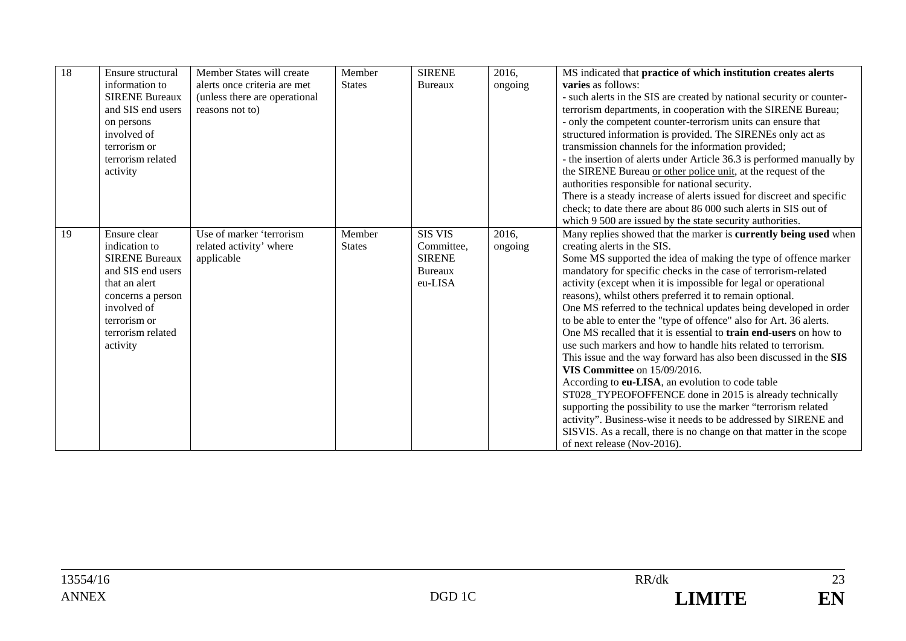| 18 | Ensure structural     | Member States will create     | Member        | <b>SIRENE</b>  | 2016,   | MS indicated that practice of which institution creates alerts           |
|----|-----------------------|-------------------------------|---------------|----------------|---------|--------------------------------------------------------------------------|
|    | information to        | alerts once criteria are met  | <b>States</b> | Bureaux        | ongoing | <b>varies</b> as follows:                                                |
|    | <b>SIRENE Bureaux</b> | (unless there are operational |               |                |         | - such alerts in the SIS are created by national security or counter-    |
|    | and SIS end users     | reasons not to)               |               |                |         | terrorism departments, in cooperation with the SIRENE Bureau;            |
|    | on persons            |                               |               |                |         | - only the competent counter-terrorism units can ensure that             |
|    | involved of           |                               |               |                |         | structured information is provided. The SIRENEs only act as              |
|    | terrorism or          |                               |               |                |         | transmission channels for the information provided;                      |
|    | terrorism related     |                               |               |                |         | - the insertion of alerts under Article 36.3 is performed manually by    |
|    | activity              |                               |               |                |         | the SIRENE Bureau or other police unit, at the request of the            |
|    |                       |                               |               |                |         | authorities responsible for national security.                           |
|    |                       |                               |               |                |         | There is a steady increase of alerts issued for discreet and specific    |
|    |                       |                               |               |                |         | check; to date there are about 86 000 such alerts in SIS out of          |
|    |                       |                               |               |                |         | which 9 500 are issued by the state security authorities.                |
| 19 | Ensure clear          | Use of marker 'terrorism      | Member        | <b>SIS VIS</b> | 2016,   | Many replies showed that the marker is currently being used when         |
|    | indication to         | related activity' where       | <b>States</b> | Committee,     | ongoing | creating alerts in the SIS.                                              |
|    | <b>SIRENE Bureaux</b> | applicable                    |               | <b>SIRENE</b>  |         | Some MS supported the idea of making the type of offence marker          |
|    | and SIS end users     |                               |               | <b>Bureaux</b> |         | mandatory for specific checks in the case of terrorism-related           |
|    | that an alert         |                               |               | eu-LISA        |         | activity (except when it is impossible for legal or operational          |
|    | concerns a person     |                               |               |                |         | reasons), whilst others preferred it to remain optional.                 |
|    | involved of           |                               |               |                |         | One MS referred to the technical updates being developed in order        |
|    | terrorism or          |                               |               |                |         | to be able to enter the "type of offence" also for Art. 36 alerts.       |
|    | terrorism related     |                               |               |                |         | One MS recalled that it is essential to <b>train end-users</b> on how to |
|    | activity              |                               |               |                |         | use such markers and how to handle hits related to terrorism.            |
|    |                       |                               |               |                |         | This issue and the way forward has also been discussed in the SIS        |
|    |                       |                               |               |                |         | <b>VIS Committee</b> on 15/09/2016.                                      |
|    |                       |                               |               |                |         | According to eu-LISA, an evolution to code table                         |
|    |                       |                               |               |                |         | ST028_TYPEOFOFFENCE done in 2015 is already technically                  |
|    |                       |                               |               |                |         | supporting the possibility to use the marker "terrorism related          |
|    |                       |                               |               |                |         | activity". Business-wise it needs to be addressed by SIRENE and          |
|    |                       |                               |               |                |         | SISVIS. As a recall, there is no change on that matter in the scope      |
|    |                       |                               |               |                |         | of next release (Nov-2016).                                              |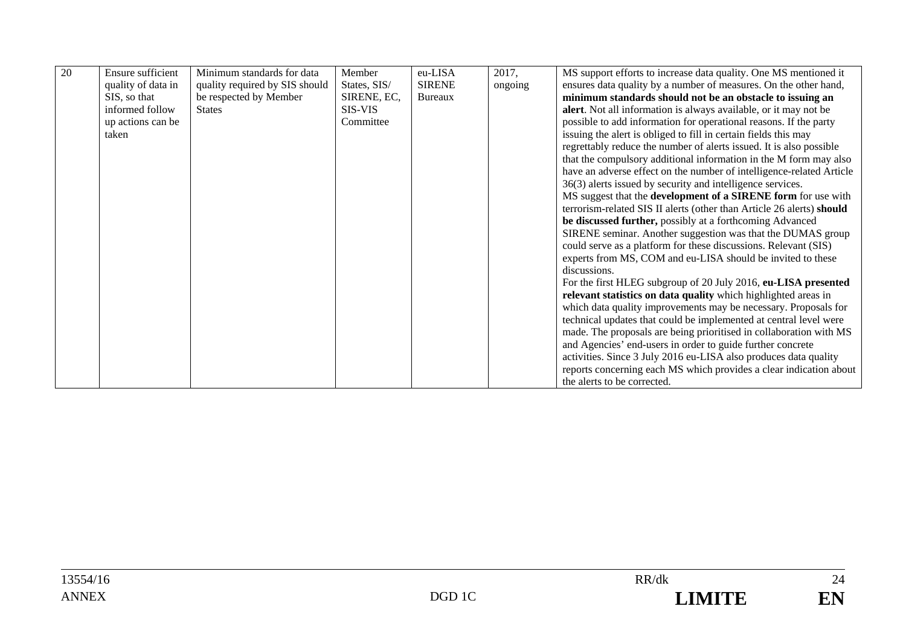| 20 | <b>Ensure sufficient</b> | Minimum standards for data     | Member       | eu-LISA       | 2017,   | MS support efforts to increase data quality. One MS mentioned it      |
|----|--------------------------|--------------------------------|--------------|---------------|---------|-----------------------------------------------------------------------|
|    | quality of data in       | quality required by SIS should | States, SIS/ | <b>SIRENE</b> | ongoing | ensures data quality by a number of measures. On the other hand,      |
|    | SIS, so that             | be respected by Member         | SIRENE, EC,  | Bureaux       |         | minimum standards should not be an obstacle to issuing an             |
|    | informed follow          | <b>States</b>                  | SIS-VIS      |               |         | alert. Not all information is always available, or it may not be      |
|    | up actions can be        |                                | Committee    |               |         | possible to add information for operational reasons. If the party     |
|    | taken                    |                                |              |               |         | issuing the alert is obliged to fill in certain fields this may       |
|    |                          |                                |              |               |         | regrettably reduce the number of alerts issued. It is also possible   |
|    |                          |                                |              |               |         | that the compulsory additional information in the M form may also     |
|    |                          |                                |              |               |         | have an adverse effect on the number of intelligence-related Article  |
|    |                          |                                |              |               |         | 36(3) alerts issued by security and intelligence services.            |
|    |                          |                                |              |               |         | MS suggest that the development of a SIRENE form for use with         |
|    |                          |                                |              |               |         | terrorism-related SIS II alerts (other than Article 26 alerts) should |
|    |                          |                                |              |               |         | be discussed further, possibly at a forthcoming Advanced              |
|    |                          |                                |              |               |         | SIRENE seminar. Another suggestion was that the DUMAS group           |
|    |                          |                                |              |               |         | could serve as a platform for these discussions. Relevant (SIS)       |
|    |                          |                                |              |               |         | experts from MS, COM and eu-LISA should be invited to these           |
|    |                          |                                |              |               |         | discussions.                                                          |
|    |                          |                                |              |               |         | For the first HLEG subgroup of 20 July 2016, eu-LISA presented        |
|    |                          |                                |              |               |         | relevant statistics on data quality which highlighted areas in        |
|    |                          |                                |              |               |         | which data quality improvements may be necessary. Proposals for       |
|    |                          |                                |              |               |         | technical updates that could be implemented at central level were     |
|    |                          |                                |              |               |         | made. The proposals are being prioritised in collaboration with MS    |
|    |                          |                                |              |               |         | and Agencies' end-users in order to guide further concrete            |
|    |                          |                                |              |               |         | activities. Since 3 July 2016 eu-LISA also produces data quality      |
|    |                          |                                |              |               |         | reports concerning each MS which provides a clear indication about    |
|    |                          |                                |              |               |         | the alerts to be corrected.                                           |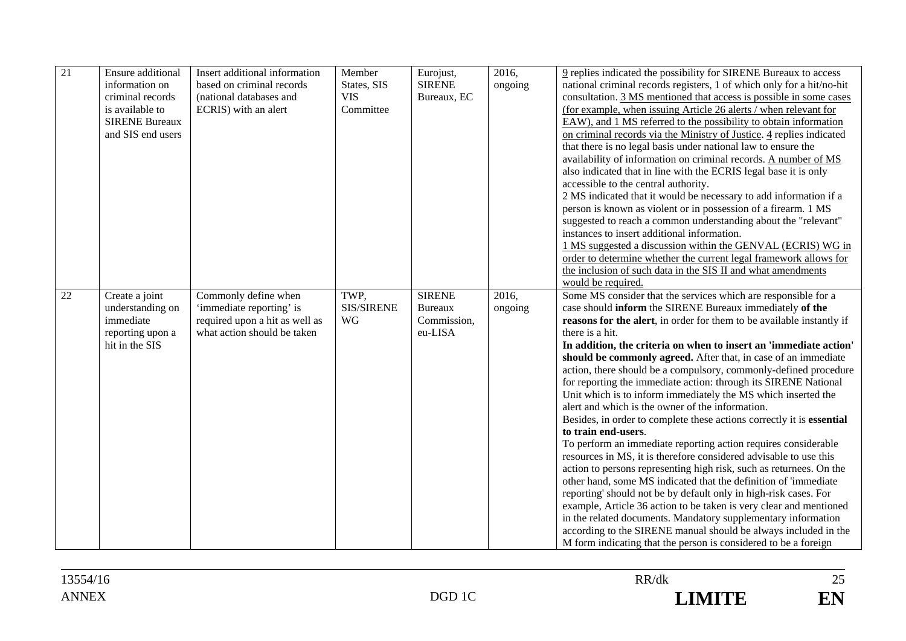| 21 | Ensure additional                                                                     | Insert additional information                                                                                     | Member                          | Eurojust,                                | 2016,            | 9 replies indicated the possibility for SIRENE Bureaux to access                                                                                                                                                                                                                                                                                                                                                                                                                                                                                                                                                                                                                                                                                                                                                                                                                                                                                                                                                                                                                                                                                                                                                                                                                         |
|----|---------------------------------------------------------------------------------------|-------------------------------------------------------------------------------------------------------------------|---------------------------------|------------------------------------------|------------------|------------------------------------------------------------------------------------------------------------------------------------------------------------------------------------------------------------------------------------------------------------------------------------------------------------------------------------------------------------------------------------------------------------------------------------------------------------------------------------------------------------------------------------------------------------------------------------------------------------------------------------------------------------------------------------------------------------------------------------------------------------------------------------------------------------------------------------------------------------------------------------------------------------------------------------------------------------------------------------------------------------------------------------------------------------------------------------------------------------------------------------------------------------------------------------------------------------------------------------------------------------------------------------------|
|    | information on                                                                        | based on criminal records                                                                                         | States, SIS                     | <b>SIRENE</b>                            | ongoing          | national criminal records registers, 1 of which only for a hit/no-hit                                                                                                                                                                                                                                                                                                                                                                                                                                                                                                                                                                                                                                                                                                                                                                                                                                                                                                                                                                                                                                                                                                                                                                                                                    |
|    | criminal records                                                                      | (national databases and                                                                                           | <b>VIS</b>                      | Bureaux, EC                              |                  | consultation. 3 MS mentioned that access is possible in some cases                                                                                                                                                                                                                                                                                                                                                                                                                                                                                                                                                                                                                                                                                                                                                                                                                                                                                                                                                                                                                                                                                                                                                                                                                       |
|    | is available to                                                                       | ECRIS) with an alert                                                                                              | Committee                       |                                          |                  | (for example, when issuing Article 26 alerts / when relevant for                                                                                                                                                                                                                                                                                                                                                                                                                                                                                                                                                                                                                                                                                                                                                                                                                                                                                                                                                                                                                                                                                                                                                                                                                         |
|    | <b>SIRENE Bureaux</b>                                                                 |                                                                                                                   |                                 |                                          |                  | EAW), and 1 MS referred to the possibility to obtain information                                                                                                                                                                                                                                                                                                                                                                                                                                                                                                                                                                                                                                                                                                                                                                                                                                                                                                                                                                                                                                                                                                                                                                                                                         |
|    | and SIS end users                                                                     |                                                                                                                   |                                 |                                          |                  | on criminal records via the Ministry of Justice. 4 replies indicated                                                                                                                                                                                                                                                                                                                                                                                                                                                                                                                                                                                                                                                                                                                                                                                                                                                                                                                                                                                                                                                                                                                                                                                                                     |
|    |                                                                                       |                                                                                                                   |                                 |                                          |                  | that there is no legal basis under national law to ensure the                                                                                                                                                                                                                                                                                                                                                                                                                                                                                                                                                                                                                                                                                                                                                                                                                                                                                                                                                                                                                                                                                                                                                                                                                            |
|    |                                                                                       |                                                                                                                   |                                 |                                          |                  | availability of information on criminal records. A number of MS                                                                                                                                                                                                                                                                                                                                                                                                                                                                                                                                                                                                                                                                                                                                                                                                                                                                                                                                                                                                                                                                                                                                                                                                                          |
|    |                                                                                       |                                                                                                                   |                                 |                                          |                  | also indicated that in line with the ECRIS legal base it is only                                                                                                                                                                                                                                                                                                                                                                                                                                                                                                                                                                                                                                                                                                                                                                                                                                                                                                                                                                                                                                                                                                                                                                                                                         |
|    |                                                                                       |                                                                                                                   |                                 |                                          |                  | accessible to the central authority.                                                                                                                                                                                                                                                                                                                                                                                                                                                                                                                                                                                                                                                                                                                                                                                                                                                                                                                                                                                                                                                                                                                                                                                                                                                     |
|    |                                                                                       |                                                                                                                   |                                 |                                          |                  | 2 MS indicated that it would be necessary to add information if a                                                                                                                                                                                                                                                                                                                                                                                                                                                                                                                                                                                                                                                                                                                                                                                                                                                                                                                                                                                                                                                                                                                                                                                                                        |
|    |                                                                                       |                                                                                                                   |                                 |                                          |                  | person is known as violent or in possession of a firearm. 1 MS                                                                                                                                                                                                                                                                                                                                                                                                                                                                                                                                                                                                                                                                                                                                                                                                                                                                                                                                                                                                                                                                                                                                                                                                                           |
|    |                                                                                       |                                                                                                                   |                                 |                                          |                  | suggested to reach a common understanding about the "relevant"                                                                                                                                                                                                                                                                                                                                                                                                                                                                                                                                                                                                                                                                                                                                                                                                                                                                                                                                                                                                                                                                                                                                                                                                                           |
|    |                                                                                       |                                                                                                                   |                                 |                                          |                  | instances to insert additional information.                                                                                                                                                                                                                                                                                                                                                                                                                                                                                                                                                                                                                                                                                                                                                                                                                                                                                                                                                                                                                                                                                                                                                                                                                                              |
|    |                                                                                       |                                                                                                                   |                                 |                                          |                  | 1 MS suggested a discussion within the GENVAL (ECRIS) WG in                                                                                                                                                                                                                                                                                                                                                                                                                                                                                                                                                                                                                                                                                                                                                                                                                                                                                                                                                                                                                                                                                                                                                                                                                              |
|    |                                                                                       |                                                                                                                   |                                 |                                          |                  | order to determine whether the current legal framework allows for                                                                                                                                                                                                                                                                                                                                                                                                                                                                                                                                                                                                                                                                                                                                                                                                                                                                                                                                                                                                                                                                                                                                                                                                                        |
|    |                                                                                       |                                                                                                                   |                                 |                                          |                  | the inclusion of such data in the SIS II and what amendments                                                                                                                                                                                                                                                                                                                                                                                                                                                                                                                                                                                                                                                                                                                                                                                                                                                                                                                                                                                                                                                                                                                                                                                                                             |
|    |                                                                                       |                                                                                                                   |                                 |                                          |                  | would be required.                                                                                                                                                                                                                                                                                                                                                                                                                                                                                                                                                                                                                                                                                                                                                                                                                                                                                                                                                                                                                                                                                                                                                                                                                                                                       |
|    |                                                                                       |                                                                                                                   |                                 | <b>SIRENE</b>                            |                  |                                                                                                                                                                                                                                                                                                                                                                                                                                                                                                                                                                                                                                                                                                                                                                                                                                                                                                                                                                                                                                                                                                                                                                                                                                                                                          |
|    |                                                                                       |                                                                                                                   |                                 |                                          |                  |                                                                                                                                                                                                                                                                                                                                                                                                                                                                                                                                                                                                                                                                                                                                                                                                                                                                                                                                                                                                                                                                                                                                                                                                                                                                                          |
|    |                                                                                       |                                                                                                                   |                                 |                                          |                  |                                                                                                                                                                                                                                                                                                                                                                                                                                                                                                                                                                                                                                                                                                                                                                                                                                                                                                                                                                                                                                                                                                                                                                                                                                                                                          |
|    |                                                                                       |                                                                                                                   |                                 |                                          |                  |                                                                                                                                                                                                                                                                                                                                                                                                                                                                                                                                                                                                                                                                                                                                                                                                                                                                                                                                                                                                                                                                                                                                                                                                                                                                                          |
|    |                                                                                       |                                                                                                                   |                                 |                                          |                  |                                                                                                                                                                                                                                                                                                                                                                                                                                                                                                                                                                                                                                                                                                                                                                                                                                                                                                                                                                                                                                                                                                                                                                                                                                                                                          |
|    |                                                                                       |                                                                                                                   |                                 |                                          |                  |                                                                                                                                                                                                                                                                                                                                                                                                                                                                                                                                                                                                                                                                                                                                                                                                                                                                                                                                                                                                                                                                                                                                                                                                                                                                                          |
|    |                                                                                       |                                                                                                                   |                                 |                                          |                  |                                                                                                                                                                                                                                                                                                                                                                                                                                                                                                                                                                                                                                                                                                                                                                                                                                                                                                                                                                                                                                                                                                                                                                                                                                                                                          |
|    |                                                                                       |                                                                                                                   |                                 |                                          |                  |                                                                                                                                                                                                                                                                                                                                                                                                                                                                                                                                                                                                                                                                                                                                                                                                                                                                                                                                                                                                                                                                                                                                                                                                                                                                                          |
|    |                                                                                       |                                                                                                                   |                                 |                                          |                  |                                                                                                                                                                                                                                                                                                                                                                                                                                                                                                                                                                                                                                                                                                                                                                                                                                                                                                                                                                                                                                                                                                                                                                                                                                                                                          |
|    |                                                                                       |                                                                                                                   |                                 |                                          |                  |                                                                                                                                                                                                                                                                                                                                                                                                                                                                                                                                                                                                                                                                                                                                                                                                                                                                                                                                                                                                                                                                                                                                                                                                                                                                                          |
|    |                                                                                       |                                                                                                                   |                                 |                                          |                  |                                                                                                                                                                                                                                                                                                                                                                                                                                                                                                                                                                                                                                                                                                                                                                                                                                                                                                                                                                                                                                                                                                                                                                                                                                                                                          |
|    |                                                                                       |                                                                                                                   |                                 |                                          |                  |                                                                                                                                                                                                                                                                                                                                                                                                                                                                                                                                                                                                                                                                                                                                                                                                                                                                                                                                                                                                                                                                                                                                                                                                                                                                                          |
|    |                                                                                       |                                                                                                                   |                                 |                                          |                  |                                                                                                                                                                                                                                                                                                                                                                                                                                                                                                                                                                                                                                                                                                                                                                                                                                                                                                                                                                                                                                                                                                                                                                                                                                                                                          |
|    |                                                                                       |                                                                                                                   |                                 |                                          |                  |                                                                                                                                                                                                                                                                                                                                                                                                                                                                                                                                                                                                                                                                                                                                                                                                                                                                                                                                                                                                                                                                                                                                                                                                                                                                                          |
|    |                                                                                       |                                                                                                                   |                                 |                                          |                  |                                                                                                                                                                                                                                                                                                                                                                                                                                                                                                                                                                                                                                                                                                                                                                                                                                                                                                                                                                                                                                                                                                                                                                                                                                                                                          |
|    |                                                                                       |                                                                                                                   |                                 |                                          |                  |                                                                                                                                                                                                                                                                                                                                                                                                                                                                                                                                                                                                                                                                                                                                                                                                                                                                                                                                                                                                                                                                                                                                                                                                                                                                                          |
|    |                                                                                       |                                                                                                                   |                                 |                                          |                  |                                                                                                                                                                                                                                                                                                                                                                                                                                                                                                                                                                                                                                                                                                                                                                                                                                                                                                                                                                                                                                                                                                                                                                                                                                                                                          |
|    |                                                                                       |                                                                                                                   |                                 |                                          |                  |                                                                                                                                                                                                                                                                                                                                                                                                                                                                                                                                                                                                                                                                                                                                                                                                                                                                                                                                                                                                                                                                                                                                                                                                                                                                                          |
|    |                                                                                       |                                                                                                                   |                                 |                                          |                  |                                                                                                                                                                                                                                                                                                                                                                                                                                                                                                                                                                                                                                                                                                                                                                                                                                                                                                                                                                                                                                                                                                                                                                                                                                                                                          |
|    |                                                                                       |                                                                                                                   |                                 |                                          |                  |                                                                                                                                                                                                                                                                                                                                                                                                                                                                                                                                                                                                                                                                                                                                                                                                                                                                                                                                                                                                                                                                                                                                                                                                                                                                                          |
|    |                                                                                       |                                                                                                                   |                                 |                                          |                  |                                                                                                                                                                                                                                                                                                                                                                                                                                                                                                                                                                                                                                                                                                                                                                                                                                                                                                                                                                                                                                                                                                                                                                                                                                                                                          |
| 22 | Create a joint<br>understanding on<br>immediate<br>reporting upon a<br>hit in the SIS | Commonly define when<br>'immediate reporting' is<br>required upon a hit as well as<br>what action should be taken | TWP.<br><b>SIS/SIRENE</b><br>WG | <b>Bureaux</b><br>Commission,<br>eu-LISA | 2016.<br>ongoing | Some MS consider that the services which are responsible for a<br>case should inform the SIRENE Bureaux immediately of the<br>reasons for the alert, in order for them to be available instantly if<br>there is a hit.<br>In addition, the criteria on when to insert an 'immediate action'<br>should be commonly agreed. After that, in case of an immediate<br>action, there should be a compulsory, commonly-defined procedure<br>for reporting the immediate action: through its SIRENE National<br>Unit which is to inform immediately the MS which inserted the<br>alert and which is the owner of the information.<br>Besides, in order to complete these actions correctly it is essential<br>to train end-users.<br>To perform an immediate reporting action requires considerable<br>resources in MS, it is therefore considered advisable to use this<br>action to persons representing high risk, such as returnees. On the<br>other hand, some MS indicated that the definition of 'immediate<br>reporting' should not be by default only in high-risk cases. For<br>example, Article 36 action to be taken is very clear and mentioned<br>in the related documents. Mandatory supplementary information<br>according to the SIRENE manual should be always included in the |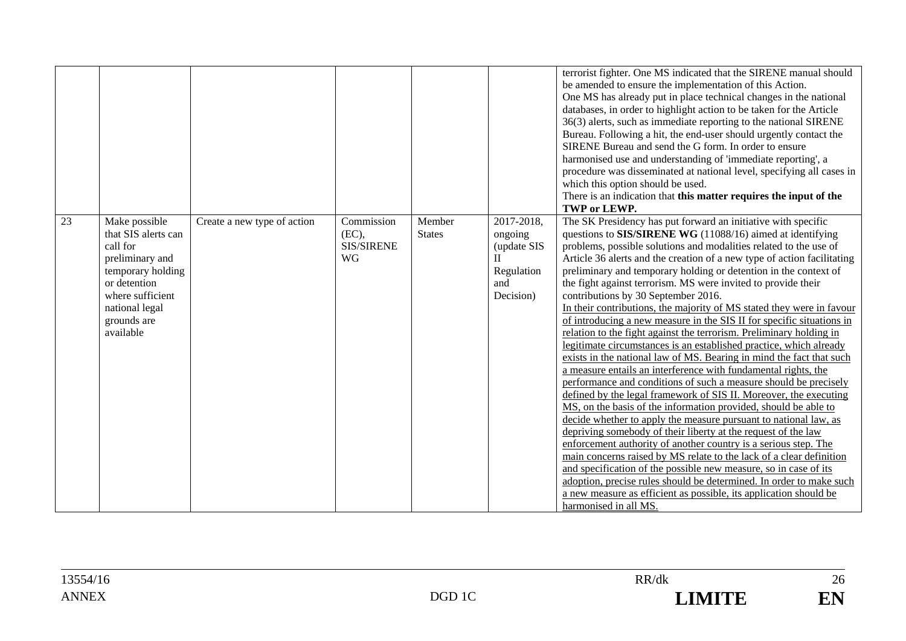|    |                                                                                                                                                                            |                             |                                                       |                         |                                                                                        | terrorist fighter. One MS indicated that the SIRENE manual should<br>be amended to ensure the implementation of this Action.<br>One MS has already put in place technical changes in the national<br>databases, in order to highlight action to be taken for the Article<br>36(3) alerts, such as immediate reporting to the national SIRENE<br>Bureau. Following a hit, the end-user should urgently contact the<br>SIRENE Bureau and send the G form. In order to ensure<br>harmonised use and understanding of 'immediate reporting', a<br>procedure was disseminated at national level, specifying all cases in<br>which this option should be used.<br>There is an indication that this matter requires the input of the<br>TWP or LEWP.                                                                                                                                                                                                                                                                                                                                                                                                                                                                                                                                                                                                                                                                                                                                                                                                                                                                                        |
|----|----------------------------------------------------------------------------------------------------------------------------------------------------------------------------|-----------------------------|-------------------------------------------------------|-------------------------|----------------------------------------------------------------------------------------|--------------------------------------------------------------------------------------------------------------------------------------------------------------------------------------------------------------------------------------------------------------------------------------------------------------------------------------------------------------------------------------------------------------------------------------------------------------------------------------------------------------------------------------------------------------------------------------------------------------------------------------------------------------------------------------------------------------------------------------------------------------------------------------------------------------------------------------------------------------------------------------------------------------------------------------------------------------------------------------------------------------------------------------------------------------------------------------------------------------------------------------------------------------------------------------------------------------------------------------------------------------------------------------------------------------------------------------------------------------------------------------------------------------------------------------------------------------------------------------------------------------------------------------------------------------------------------------------------------------------------------------|
| 23 | Make possible<br>that SIS alerts can<br>call for<br>preliminary and<br>temporary holding<br>or detention<br>where sufficient<br>national legal<br>grounds are<br>available | Create a new type of action | Commission<br>(EC),<br><b>SIS/SIRENE</b><br><b>WG</b> | Member<br><b>States</b> | 2017-2018,<br>ongoing<br>(update SIS<br>$\mathbf{I}$<br>Regulation<br>and<br>Decision) | The SK Presidency has put forward an initiative with specific<br>questions to SIS/SIRENE WG (11088/16) aimed at identifying<br>problems, possible solutions and modalities related to the use of<br>Article 36 alerts and the creation of a new type of action facilitating<br>preliminary and temporary holding or detention in the context of<br>the fight against terrorism. MS were invited to provide their<br>contributions by 30 September 2016.<br>In their contributions, the majority of MS stated they were in favour<br>of introducing a new measure in the SIS II for specific situations in<br>relation to the fight against the terrorism. Preliminary holding in<br>legitimate circumstances is an established practice, which already<br>exists in the national law of MS. Bearing in mind the fact that such<br>a measure entails an interference with fundamental rights, the<br>performance and conditions of such a measure should be precisely<br>defined by the legal framework of SIS II. Moreover, the executing<br>MS, on the basis of the information provided, should be able to<br>decide whether to apply the measure pursuant to national law, as<br>depriving somebody of their liberty at the request of the law<br>enforcement authority of another country is a serious step. The<br>main concerns raised by MS relate to the lack of a clear definition<br>and specification of the possible new measure, so in case of its<br>adoption, precise rules should be determined. In order to make such<br>a new measure as efficient as possible, its application should be<br>harmonised in all MS. |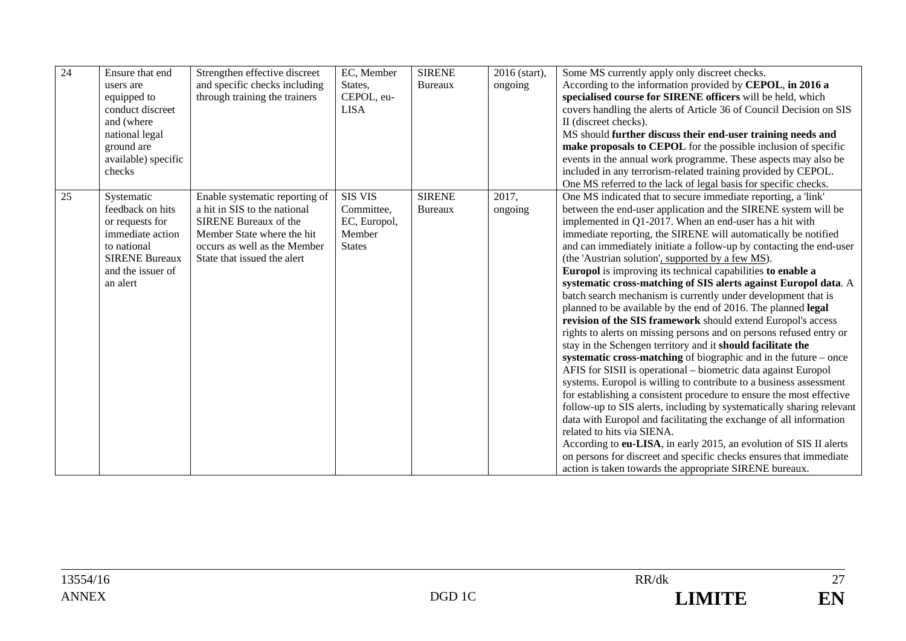| 24 | Ensure that end<br>users are<br>equipped to<br>conduct discreet<br>and (where<br>national legal<br>ground are<br>available) specific<br>checks | Strengthen effective discreet<br>and specific checks including<br>through training the trainers                                                                                             | EC, Member<br>States,<br>CEPOL, eu-<br><b>LISA</b>                      | <b>SIRENE</b><br>Bureaux        | 2016 (start),<br>ongoing | Some MS currently apply only discreet checks.<br>According to the information provided by CEPOL, in 2016 a<br>specialised course for SIRENE officers will be held, which<br>covers handling the alerts of Article 36 of Council Decision on SIS<br>II (discreet checks).<br>MS should further discuss their end-user training needs and<br>make proposals to CEPOL for the possible inclusion of specific<br>events in the annual work programme. These aspects may also be<br>included in any terrorism-related training provided by CEPOL.<br>One MS referred to the lack of legal basis for specific checks.                                                                                                                                                                                                                                                                                                                                                                                                                                                                                                                                                                                                                                                                                                                                                                                                                                                                                                                            |
|----|------------------------------------------------------------------------------------------------------------------------------------------------|---------------------------------------------------------------------------------------------------------------------------------------------------------------------------------------------|-------------------------------------------------------------------------|---------------------------------|--------------------------|--------------------------------------------------------------------------------------------------------------------------------------------------------------------------------------------------------------------------------------------------------------------------------------------------------------------------------------------------------------------------------------------------------------------------------------------------------------------------------------------------------------------------------------------------------------------------------------------------------------------------------------------------------------------------------------------------------------------------------------------------------------------------------------------------------------------------------------------------------------------------------------------------------------------------------------------------------------------------------------------------------------------------------------------------------------------------------------------------------------------------------------------------------------------------------------------------------------------------------------------------------------------------------------------------------------------------------------------------------------------------------------------------------------------------------------------------------------------------------------------------------------------------------------------|
| 25 | Systematic<br>feedback on hits<br>or requests for<br>immediate action<br>to national<br><b>SIRENE Bureaux</b><br>and the issuer of<br>an alert | Enable systematic reporting of<br>a hit in SIS to the national<br><b>SIRENE Bureaux of the</b><br>Member State where the hit<br>occurs as well as the Member<br>State that issued the alert | <b>SIS VIS</b><br>Committee.<br>EC, Europol,<br>Member<br><b>States</b> | <b>SIRENE</b><br><b>Bureaux</b> | 2017,<br>ongoing         | One MS indicated that to secure immediate reporting, a 'link'<br>between the end-user application and the SIRENE system will be<br>implemented in Q1-2017. When an end-user has a hit with<br>immediate reporting, the SIRENE will automatically be notified<br>and can immediately initiate a follow-up by contacting the end-user<br>(the 'Austrian solution', supported by a few MS).<br>Europol is improving its technical capabilities to enable a<br>systematic cross-matching of SIS alerts against Europol data. A<br>batch search mechanism is currently under development that is<br>planned to be available by the end of 2016. The planned legal<br>revision of the SIS framework should extend Europol's access<br>rights to alerts on missing persons and on persons refused entry or<br>stay in the Schengen territory and it should facilitate the<br>systematic cross-matching of biographic and in the future – once<br>AFIS for SISII is operational – biometric data against Europol<br>systems. Europol is willing to contribute to a business assessment<br>for establishing a consistent procedure to ensure the most effective<br>follow-up to SIS alerts, including by systematically sharing relevant<br>data with Europol and facilitating the exchange of all information<br>related to hits via SIENA.<br>According to eu-LISA, in early 2015, an evolution of SIS II alerts<br>on persons for discreet and specific checks ensures that immediate<br>action is taken towards the appropriate SIRENE bureaux. |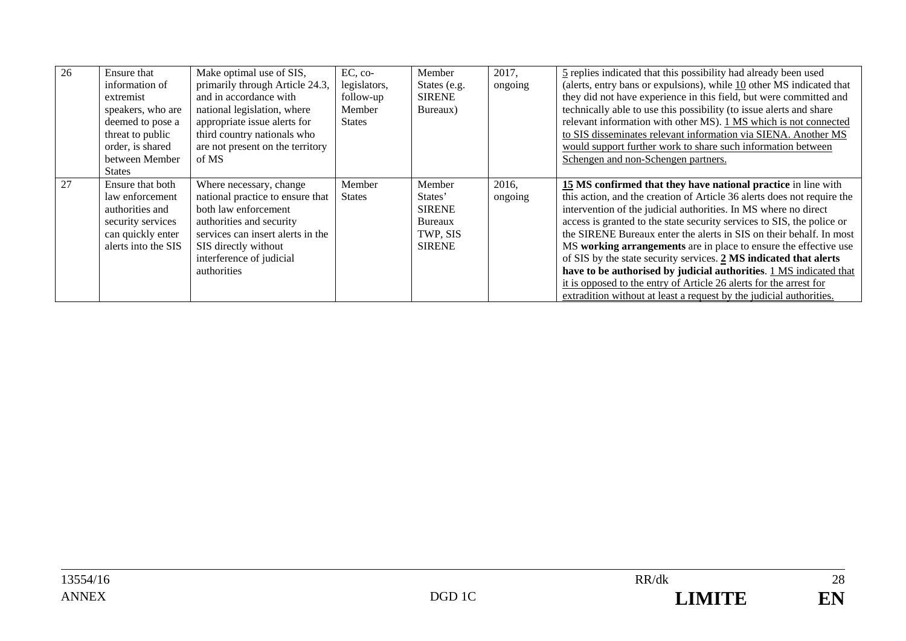| 26 | Ensure that<br>information of<br>extremist<br>speakers, who are<br>deemed to pose a<br>threat to public<br>order, is shared<br>between Member<br><b>States</b> | Make optimal use of SIS,<br>primarily through Article 24.3,<br>and in accordance with<br>national legislation, where<br>appropriate issue alerts for<br>third country nationals who<br>are not present on the territory<br>of MS | $EC, co-$<br>legislators,<br>follow-up<br>Member<br><b>States</b> | Member<br>States (e.g.<br><b>SIRENE</b><br>Bureaux)                        | 2017,<br>ongoing | 5 replies indicated that this possibility had already been used<br>(alerts, entry bans or expulsions), while 10 other MS indicated that<br>they did not have experience in this field, but were committed and<br>technically able to use this possibility (to issue alerts and share<br>relevant information with other MS). 1 MS which is not connected<br>to SIS disseminates relevant information via SIENA. Another MS<br>would support further work to share such information between<br>Schengen and non-Schengen partners.                                                                                                                                                                                        |
|----|----------------------------------------------------------------------------------------------------------------------------------------------------------------|----------------------------------------------------------------------------------------------------------------------------------------------------------------------------------------------------------------------------------|-------------------------------------------------------------------|----------------------------------------------------------------------------|------------------|--------------------------------------------------------------------------------------------------------------------------------------------------------------------------------------------------------------------------------------------------------------------------------------------------------------------------------------------------------------------------------------------------------------------------------------------------------------------------------------------------------------------------------------------------------------------------------------------------------------------------------------------------------------------------------------------------------------------------|
| 27 | Ensure that both<br>law enforcement<br>authorities and<br>security services<br>can quickly enter<br>alerts into the SIS                                        | Where necessary, change<br>national practice to ensure that<br>both law enforcement<br>authorities and security<br>services can insert alerts in the<br>SIS directly without<br>interference of judicial<br>authorities          | Member<br><b>States</b>                                           | Member<br>States'<br><b>SIRENE</b><br>Bureaux<br>TWP, SIS<br><b>SIRENE</b> | 2016,<br>ongoing | 15 MS confirmed that they have national practice in line with<br>this action, and the creation of Article 36 alerts does not require the<br>intervention of the judicial authorities. In MS where no direct<br>access is granted to the state security services to SIS, the police or<br>the SIRENE Bureaux enter the alerts in SIS on their behalf. In most<br>MS working arrangements are in place to ensure the effective use<br>of SIS by the state security services. 2 MS indicated that alerts<br>have to be authorised by judicial authorities. 1 MS indicated that<br>it is opposed to the entry of Article 26 alerts for the arrest for<br>extradition without at least a request by the judicial authorities. |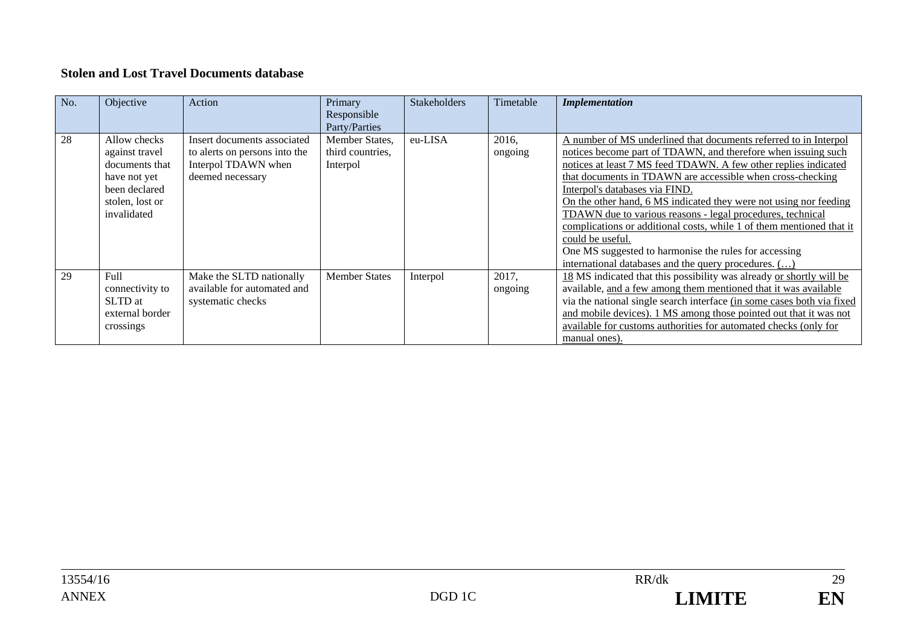#### **Stolen and Lost Travel Documents database**

| No. | Objective                                                                                                           | Action                                                                                                  | Primary<br>Responsible<br>Party/Parties        | <b>Stakeholders</b> | Timetable        | <b>Implementation</b>                                                                                                                                                                                                                                                                                                                                                                                                                                                                                                                                                                                                                                |
|-----|---------------------------------------------------------------------------------------------------------------------|---------------------------------------------------------------------------------------------------------|------------------------------------------------|---------------------|------------------|------------------------------------------------------------------------------------------------------------------------------------------------------------------------------------------------------------------------------------------------------------------------------------------------------------------------------------------------------------------------------------------------------------------------------------------------------------------------------------------------------------------------------------------------------------------------------------------------------------------------------------------------------|
| 28  | Allow checks<br>against travel<br>documents that<br>have not yet<br>been declared<br>stolen, lost or<br>invalidated | Insert documents associated<br>to alerts on persons into the<br>Interpol TDAWN when<br>deemed necessary | Member States,<br>third countries,<br>Interpol | eu-LISA             | 2016,<br>ongoing | A number of MS underlined that documents referred to in Interpol<br>notices become part of TDAWN, and therefore when issuing such<br>notices at least 7 MS feed TDAWN. A few other replies indicated<br>that documents in TDAWN are accessible when cross-checking<br>Interpol's databases via FIND.<br>On the other hand, 6 MS indicated they were not using nor feeding<br>TDAWN due to various reasons - legal procedures, technical<br>complications or additional costs, while 1 of them mentioned that it<br>could be useful.<br>One MS suggested to harmonise the rules for accessing<br>international databases and the query procedures. () |
| 29  | Full<br>connectivity to<br>SLTD at<br>external border<br>crossings                                                  | Make the SLTD nationally<br>available for automated and<br>systematic checks                            | <b>Member States</b>                           | Interpol            | 2017,<br>ongoing | 18 MS indicated that this possibility was already or shortly will be<br>available, and a few among them mentioned that it was available<br>via the national single search interface (in some cases both via fixed<br>and mobile devices). 1 MS among those pointed out that it was not<br>available for customs authorities for automated checks (only for<br>manual ones).                                                                                                                                                                                                                                                                          |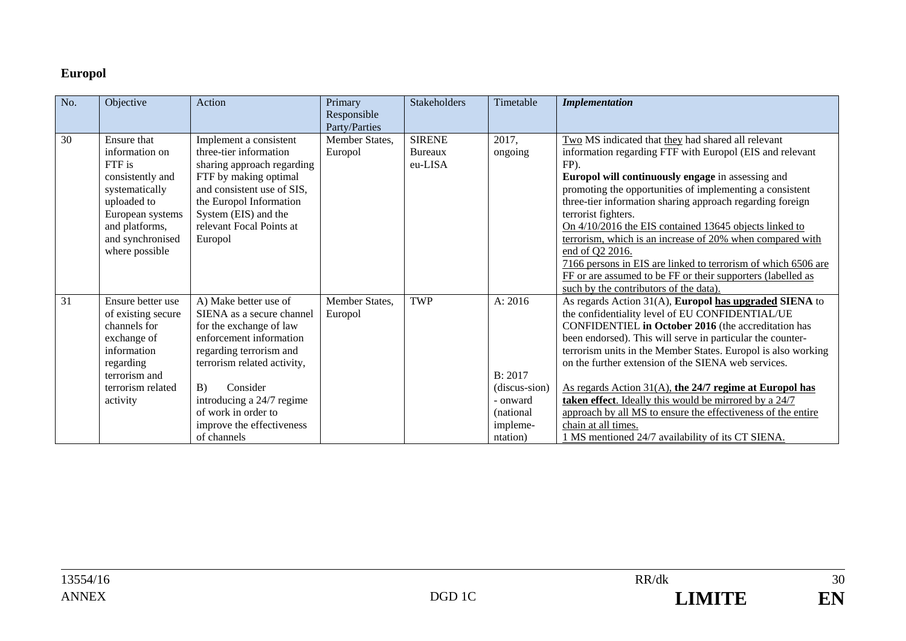## **Europol**

| $\overline{No.}$ | Objective          | Action                      | Primary<br>Responsible | Stakeholders  | Timetable     | <b>Implementation</b>                                         |
|------------------|--------------------|-----------------------------|------------------------|---------------|---------------|---------------------------------------------------------------|
|                  |                    |                             | Party/Parties          |               |               |                                                               |
| 30               | <b>Ensure that</b> | Implement a consistent      | Member States,         | <b>SIRENE</b> | 2017,         | Two MS indicated that they had shared all relevant            |
|                  | information on     | three-tier information      | Europol                | Bureaux       | ongoing       | information regarding FTF with Europol (EIS and relevant      |
|                  | FTF is             | sharing approach regarding  |                        | eu-LISA       |               | FP).                                                          |
|                  | consistently and   | FTF by making optimal       |                        |               |               | Europol will continuously engage in assessing and             |
|                  | systematically     | and consistent use of SIS,  |                        |               |               | promoting the opportunities of implementing a consistent      |
|                  | uploaded to        | the Europol Information     |                        |               |               | three-tier information sharing approach regarding foreign     |
|                  | European systems   | System (EIS) and the        |                        |               |               | terrorist fighters.                                           |
|                  | and platforms,     | relevant Focal Points at    |                        |               |               | On 4/10/2016 the EIS contained 13645 objects linked to        |
|                  | and synchronised   | Europol                     |                        |               |               | terrorism, which is an increase of 20% when compared with     |
|                  | where possible     |                             |                        |               |               | end of Q2 2016.                                               |
|                  |                    |                             |                        |               |               | 7166 persons in EIS are linked to terrorism of which 6506 are |
|                  |                    |                             |                        |               |               | FF or are assumed to be FF or their supporters (labelled as   |
|                  |                    |                             |                        |               |               | such by the contributors of the data).                        |
| 31               | Ensure better use  | A) Make better use of       | Member States,         | <b>TWP</b>    | A: 2016       | As regards Action 31(A), Europol has upgraded SIENA to        |
|                  | of existing secure | SIENA as a secure channel   | Europol                |               |               | the confidentiality level of EU CONFIDENTIAL/UE               |
|                  | channels for       | for the exchange of law     |                        |               |               | CONFIDENTIEL in October 2016 (the accreditation has           |
|                  | exchange of        | enforcement information     |                        |               |               | been endorsed). This will serve in particular the counter-    |
|                  | information        | regarding terrorism and     |                        |               |               | terrorism units in the Member States. Europol is also working |
|                  | regarding          | terrorism related activity, |                        |               |               | on the further extension of the SIENA web services.           |
|                  | terrorism and      |                             |                        |               | B: 2017       |                                                               |
|                  | terrorism related  | B)<br>Consider              |                        |               | (discus-sion) | As regards Action 31(A), the 24/7 regime at Europol has       |
|                  | activity           | introducing a 24/7 regime   |                        |               | - onward      | taken effect. Ideally this would be mirrored by a 24/7        |
|                  |                    | of work in order to         |                        |               | (national)    | approach by all MS to ensure the effectiveness of the entire  |
|                  |                    | improve the effectiveness   |                        |               | impleme-      | chain at all times.                                           |
|                  |                    | of channels                 |                        |               | ntation)      | 1 MS mentioned 24/7 availability of its CT SIENA.             |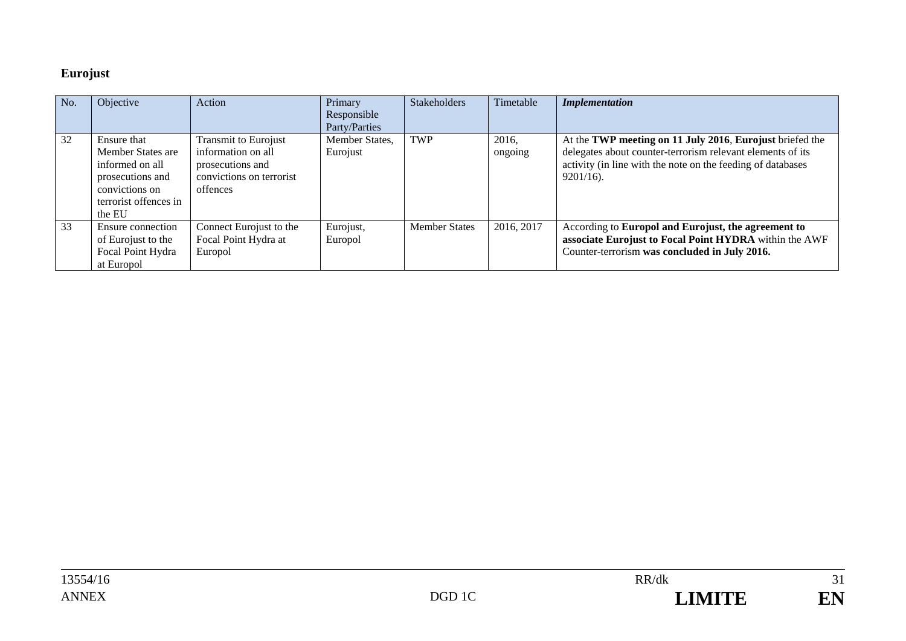## **Eurojust**

| No. | Objective                                                                                                                    | Action                                                                                                        | Primary<br>Responsible<br>Party/Parties | <b>Stakeholders</b>  | Timetable        | <b>Implementation</b>                                                                                                                                                                                 |
|-----|------------------------------------------------------------------------------------------------------------------------------|---------------------------------------------------------------------------------------------------------------|-----------------------------------------|----------------------|------------------|-------------------------------------------------------------------------------------------------------------------------------------------------------------------------------------------------------|
| 32  | Ensure that<br>Member States are<br>informed on all<br>prosecutions and<br>convictions on<br>terrorist offences in<br>the EU | <b>Transmit to Eurojust</b><br>information on all<br>prosecutions and<br>convictions on terrorist<br>offences | Member States,<br>Eurojust              | <b>TWP</b>           | 2016,<br>ongoing | At the TWP meeting on 11 July 2016, Eurojust briefed the<br>delegates about counter-terrorism relevant elements of its<br>activity (in line with the note on the feeding of databases<br>$9201/16$ ). |
| 33  | Ensure connection<br>of Eurojust to the<br>Focal Point Hydra<br>at Europol                                                   | Connect Eurojust to the<br>Focal Point Hydra at<br>Europol                                                    | Eurojust,<br>Europol                    | <b>Member States</b> | 2016, 2017       | According to Europol and Eurojust, the agreement to<br>associate Eurojust to Focal Point HYDRA within the AWF<br>Counter-terrorism was concluded in July 2016.                                        |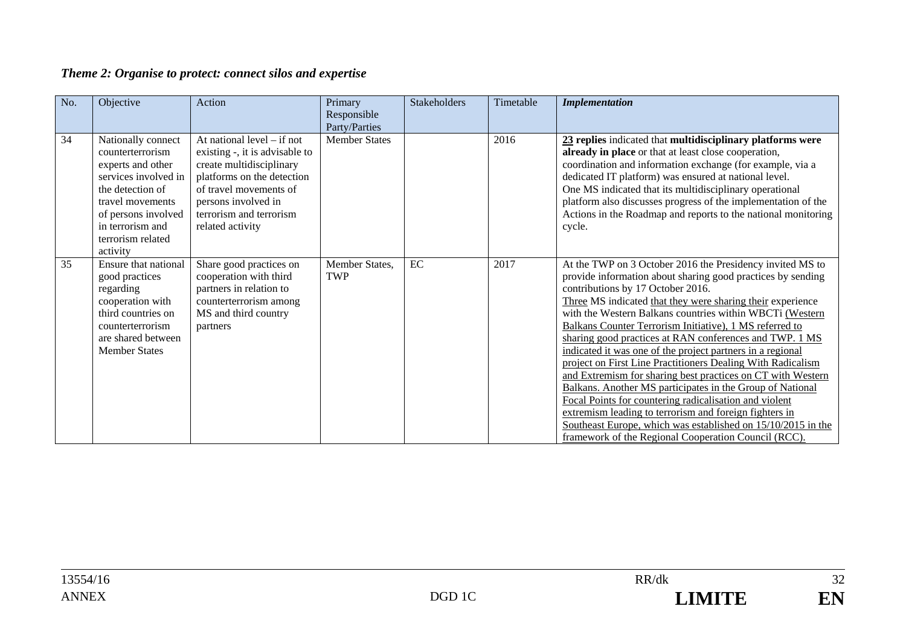## *Theme 2: Organise to protect: connect silos and expertise*

| No. | Objective                                                                                                                                                                                               | Action                                                                                                                                                                                                                   | Primary<br>Responsible<br>Party/Parties | Stakeholders | Timetable | <b>Implementation</b>                                                                                                                                                                                                                                                                                                                                                                                                                                                                                                                                                                                                                                                                                                                                                                                                                                                                                              |
|-----|---------------------------------------------------------------------------------------------------------------------------------------------------------------------------------------------------------|--------------------------------------------------------------------------------------------------------------------------------------------------------------------------------------------------------------------------|-----------------------------------------|--------------|-----------|--------------------------------------------------------------------------------------------------------------------------------------------------------------------------------------------------------------------------------------------------------------------------------------------------------------------------------------------------------------------------------------------------------------------------------------------------------------------------------------------------------------------------------------------------------------------------------------------------------------------------------------------------------------------------------------------------------------------------------------------------------------------------------------------------------------------------------------------------------------------------------------------------------------------|
| 34  | Nationally connect<br>counterterrorism<br>experts and other<br>services involved in<br>the detection of<br>travel movements<br>of persons involved<br>in terrorism and<br>terrorism related<br>activity | At national level $-$ if not<br>existing -, it is advisable to<br>create multidisciplinary<br>platforms on the detection<br>of travel movements of<br>persons involved in<br>terrorism and terrorism<br>related activity | <b>Member States</b>                    |              | 2016      | 23 replies indicated that multidisciplinary platforms were<br>already in place or that at least close cooperation,<br>coordination and information exchange (for example, via a<br>dedicated IT platform) was ensured at national level.<br>One MS indicated that its multidisciplinary operational<br>platform also discusses progress of the implementation of the<br>Actions in the Roadmap and reports to the national monitoring<br>cycle.                                                                                                                                                                                                                                                                                                                                                                                                                                                                    |
| 35  | Ensure that national<br>good practices<br>regarding<br>cooperation with<br>third countries on<br>counterterrorism<br>are shared between<br><b>Member States</b>                                         | Share good practices on<br>cooperation with third<br>partners in relation to<br>counterterrorism among<br>MS and third country<br>partners                                                                               | Member States,<br><b>TWP</b>            | EC           | 2017      | At the TWP on 3 October 2016 the Presidency invited MS to<br>provide information about sharing good practices by sending<br>contributions by 17 October 2016.<br>Three MS indicated that they were sharing their experience<br>with the Western Balkans countries within WBCTi (Western<br>Balkans Counter Terrorism Initiative), 1 MS referred to<br>sharing good practices at RAN conferences and TWP. 1 MS<br>indicated it was one of the project partners in a regional<br>project on First Line Practitioners Dealing With Radicalism<br>and Extremism for sharing best practices on CT with Western<br>Balkans. Another MS participates in the Group of National<br>Focal Points for countering radicalisation and violent<br>extremism leading to terrorism and foreign fighters in<br>Southeast Europe, which was established on 15/10/2015 in the<br>framework of the Regional Cooperation Council (RCC). |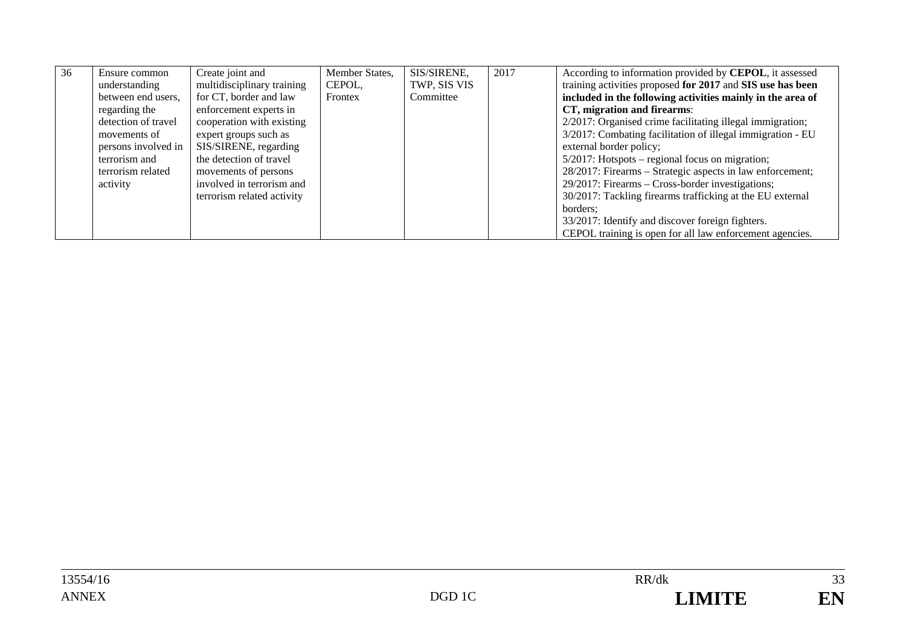| 36 | Ensure common<br>understanding | Create joint and<br>multidisciplinary training | Member States,<br>CEPOL, | SIS/SIRENE,<br>TWP, SIS VIS | 2017 | According to information provided by CEPOL, it assessed<br>training activities proposed for 2017 and SIS use has been |
|----|--------------------------------|------------------------------------------------|--------------------------|-----------------------------|------|-----------------------------------------------------------------------------------------------------------------------|
|    | between end users,             | for CT, border and law                         | Frontex                  | Committee                   |      | included in the following activities mainly in the area of                                                            |
|    | regarding the                  | enforcement experts in                         |                          |                             |      | CT, migration and firearms:                                                                                           |
|    | detection of travel            | cooperation with existing                      |                          |                             |      | 2/2017: Organised crime facilitating illegal immigration;                                                             |
|    | movements of                   | expert groups such as                          |                          |                             |      | 3/2017: Combating facilitation of illegal immigration - EU                                                            |
|    | persons involved in            | SIS/SIRENE, regarding                          |                          |                             |      | external border policy;                                                                                               |
|    | terrorism and                  | the detection of travel                        |                          |                             |      | $5/2017$ : Hotspots – regional focus on migration;                                                                    |
|    | terrorism related              | movements of persons                           |                          |                             |      | 28/2017: Firearms – Strategic aspects in law enforcement;                                                             |
|    | activity                       | involved in terrorism and                      |                          |                             |      | 29/2017: Firearms – Cross-border investigations;                                                                      |
|    |                                | terrorism related activity                     |                          |                             |      | 30/2017: Tackling firearms trafficking at the EU external                                                             |
|    |                                |                                                |                          |                             |      | borders:                                                                                                              |
|    |                                |                                                |                          |                             |      | 33/2017: Identify and discover foreign fighters.                                                                      |
|    |                                |                                                |                          |                             |      | CEPOL training is open for all law enforcement agencies.                                                              |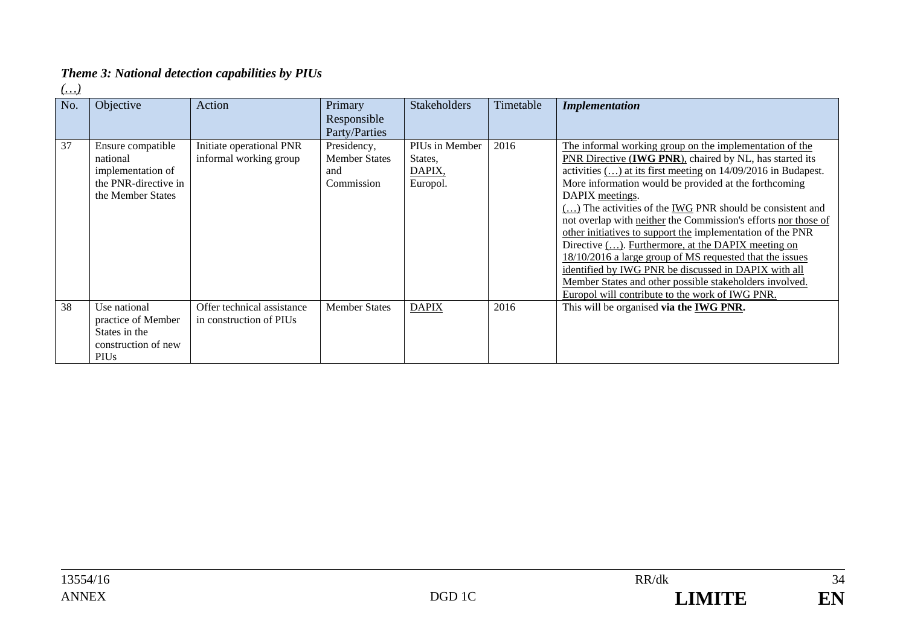# *Theme 3: National detection capabilities by PIUs*

*(…)* 

| No. | Objective                                                                                       | Action                                                | Primary<br>Responsible<br>Party/Parties                  | <b>Stakeholders</b>                             | Timetable | <b>Implementation</b>                                                                                                                                                                                                                                                                                                                                                                                                                                                                                                                                                                                                                                                                                                                                    |
|-----|-------------------------------------------------------------------------------------------------|-------------------------------------------------------|----------------------------------------------------------|-------------------------------------------------|-----------|----------------------------------------------------------------------------------------------------------------------------------------------------------------------------------------------------------------------------------------------------------------------------------------------------------------------------------------------------------------------------------------------------------------------------------------------------------------------------------------------------------------------------------------------------------------------------------------------------------------------------------------------------------------------------------------------------------------------------------------------------------|
| 37  | Ensure compatible<br>national<br>implementation of<br>the PNR-directive in<br>the Member States | Initiate operational PNR<br>informal working group    | Presidency,<br><b>Member States</b><br>and<br>Commission | PIUs in Member<br>States,<br>DAPIX,<br>Europol. | 2016      | The informal working group on the implementation of the<br>PNR Directive (IWG PNR), chaired by NL, has started its<br>activities $()$ at its first meeting on $14/09/2016$ in Budapest.<br>More information would be provided at the forthcoming<br>DAPIX meetings.<br>() The activities of the IWG PNR should be consistent and<br>not overlap with neither the Commission's efforts nor those of<br>other initiatives to support the implementation of the PNR<br>Directive (). Furthermore, at the DAPIX meeting on<br>18/10/2016 a large group of MS requested that the issues<br>identified by IWG PNR be discussed in DAPIX with all<br>Member States and other possible stakeholders involved.<br>Europol will contribute to the work of IWG PNR. |
| 38  | Use national<br>practice of Member<br>States in the<br>construction of new<br><b>PIUs</b>       | Offer technical assistance<br>in construction of PIUs | <b>Member States</b>                                     | <b>DAPIX</b>                                    | 2016      | This will be organised via the IWG PNR.                                                                                                                                                                                                                                                                                                                                                                                                                                                                                                                                                                                                                                                                                                                  |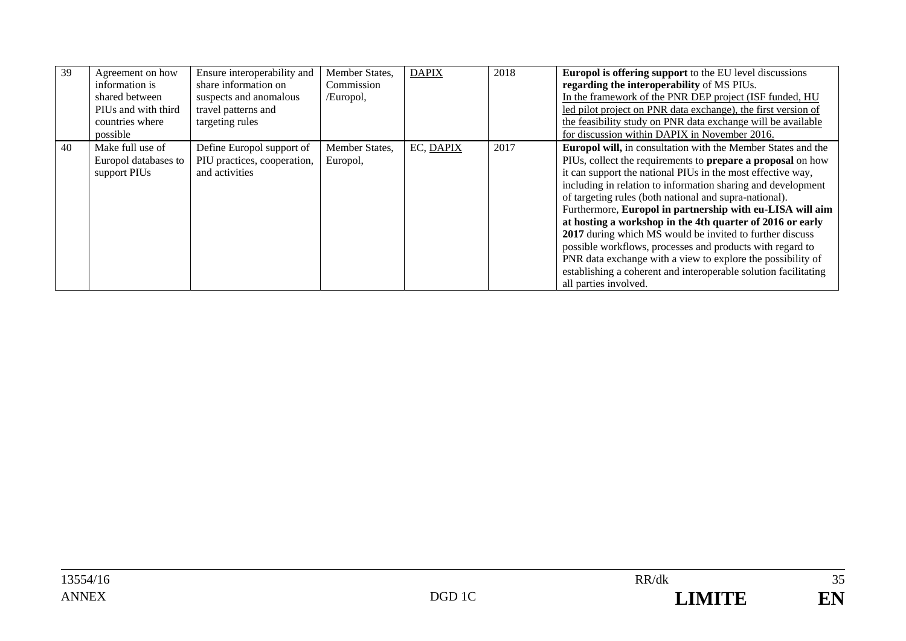| 39 | Agreement on how<br>information is<br>shared between<br>PIUs and with third<br>countries where<br>possible | Ensure interoperability and<br>share information on<br>suspects and anomalous<br>travel patterns and<br>targeting rules | Member States,<br>Commission<br>/Europol, | <b>DAPIX</b> | 2018 | <b>Europol is offering support</b> to the EU level discussions<br>regarding the interoperability of MS PIUs.<br>In the framework of the PNR DEP project (ISF funded, HU<br>led pilot project on PNR data exchange), the first version of<br>the feasibility study on PNR data exchange will be available<br>for discussion within DAPIX in November 2016.                                                                                                                                                                                                                                                                                                                                                                                        |
|----|------------------------------------------------------------------------------------------------------------|-------------------------------------------------------------------------------------------------------------------------|-------------------------------------------|--------------|------|--------------------------------------------------------------------------------------------------------------------------------------------------------------------------------------------------------------------------------------------------------------------------------------------------------------------------------------------------------------------------------------------------------------------------------------------------------------------------------------------------------------------------------------------------------------------------------------------------------------------------------------------------------------------------------------------------------------------------------------------------|
| 40 | Make full use of<br>Europol databases to<br>support PIUs                                                   | Define Europol support of<br>PIU practices, cooperation,<br>and activities                                              | Member States,<br>Europol,                | EC, DAPIX    | 2017 | <b>Europol will, in consultation with the Member States and the</b><br>PIUs, collect the requirements to <b>prepare a proposal</b> on how<br>it can support the national PIUs in the most effective way,<br>including in relation to information sharing and development<br>of targeting rules (both national and supra-national).<br>Furthermore, Europol in partnership with eu-LISA will aim<br>at hosting a workshop in the 4th quarter of 2016 or early<br>2017 during which MS would be invited to further discuss<br>possible workflows, processes and products with regard to<br>PNR data exchange with a view to explore the possibility of<br>establishing a coherent and interoperable solution facilitating<br>all parties involved. |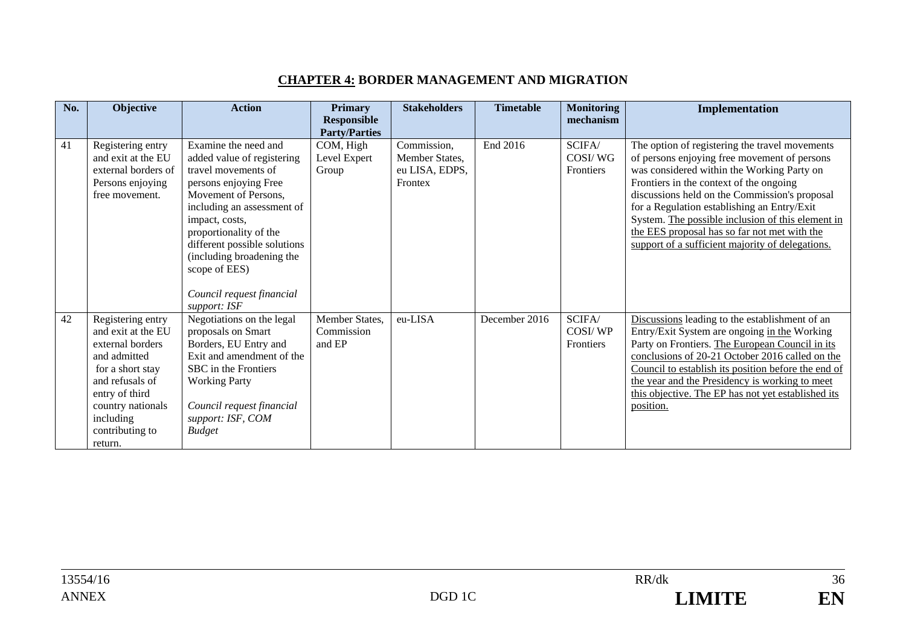#### **CHAPTER 4: BORDER MANAGEMENT AND MIGRATION**

| No. | Objective                               | <b>Action</b>                               | <b>Primary</b>            | <b>Stakeholders</b> | <b>Timetable</b> | <b>Monitoring</b>    | Implementation                                                                                  |
|-----|-----------------------------------------|---------------------------------------------|---------------------------|---------------------|------------------|----------------------|-------------------------------------------------------------------------------------------------|
|     |                                         |                                             | Responsible               |                     |                  | mechanism            |                                                                                                 |
|     |                                         | Examine the need and                        | <b>Party/Parties</b>      | Commission,         | End 2016         |                      |                                                                                                 |
| 41  | Registering entry<br>and exit at the EU | added value of registering                  | COM, High<br>Level Expert | Member States,      |                  | SCIFA/<br>COSI/WG    | The option of registering the travel movements                                                  |
|     | external borders of                     | travel movements of                         | Group                     | eu LISA, EDPS,      |                  | Frontiers            | of persons enjoying free movement of persons<br>was considered within the Working Party on      |
|     | Persons enjoying                        | persons enjoying Free                       |                           | Frontex             |                  |                      | Frontiers in the context of the ongoing                                                         |
|     | free movement.                          | Movement of Persons,                        |                           |                     |                  |                      | discussions held on the Commission's proposal                                                   |
|     |                                         | including an assessment of                  |                           |                     |                  |                      | for a Regulation establishing an Entry/Exit                                                     |
|     |                                         | impact, costs,                              |                           |                     |                  |                      | System. The possible inclusion of this element in                                               |
|     |                                         | proportionality of the                      |                           |                     |                  |                      | the EES proposal has so far not met with the                                                    |
|     |                                         | different possible solutions                |                           |                     |                  |                      | support of a sufficient majority of delegations.                                                |
|     |                                         | (including broadening the                   |                           |                     |                  |                      |                                                                                                 |
|     |                                         | scope of EES)                               |                           |                     |                  |                      |                                                                                                 |
|     |                                         |                                             |                           |                     |                  |                      |                                                                                                 |
|     |                                         | Council request financial                   |                           |                     |                  |                      |                                                                                                 |
|     |                                         | support: ISF                                |                           |                     |                  |                      |                                                                                                 |
| 42  | Registering entry                       | Negotiations on the legal                   | Member States,            | eu-LISA             | December 2016    | SCIFA/               | Discussions leading to the establishment of an                                                  |
|     | and exit at the EU<br>external borders  | proposals on Smart<br>Borders, EU Entry and | Commission<br>and EP      |                     |                  | COSI/WP<br>Frontiers | Entry/Exit System are ongoing in the Working<br>Party on Frontiers. The European Council in its |
|     | and admitted                            | Exit and amendment of the                   |                           |                     |                  |                      | conclusions of 20-21 October 2016 called on the                                                 |
|     | for a short stay                        | SBC in the Frontiers                        |                           |                     |                  |                      | Council to establish its position before the end of                                             |
|     | and refusals of                         | <b>Working Party</b>                        |                           |                     |                  |                      | the year and the Presidency is working to meet                                                  |
|     | entry of third                          |                                             |                           |                     |                  |                      | this objective. The EP has not yet established its                                              |
|     | country nationals                       | Council request financial                   |                           |                     |                  |                      | position.                                                                                       |
|     | including                               | support: ISF, COM                           |                           |                     |                  |                      |                                                                                                 |
|     | contributing to                         | <b>Budget</b>                               |                           |                     |                  |                      |                                                                                                 |
|     | return.                                 |                                             |                           |                     |                  |                      |                                                                                                 |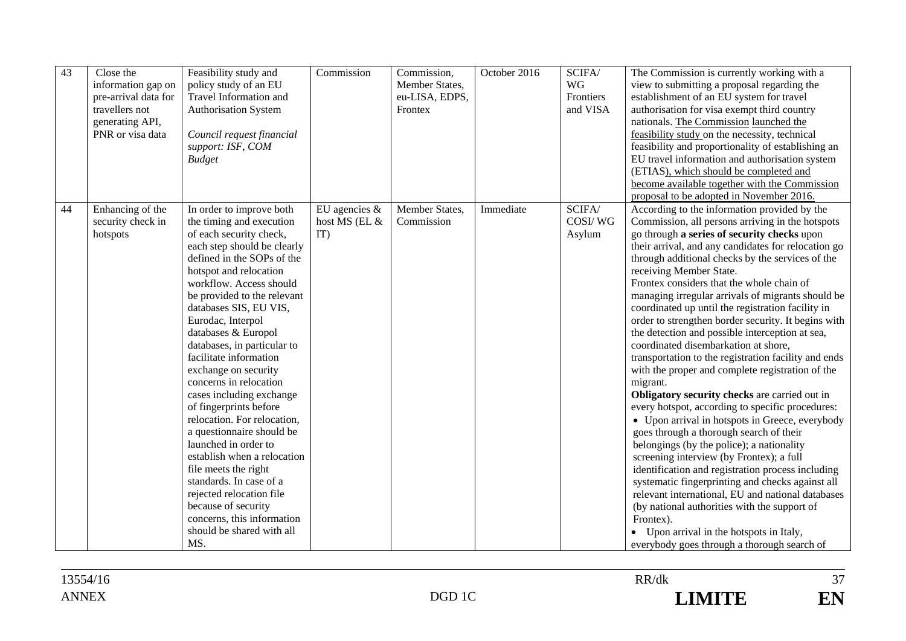| 43 | Close the<br>information gap on<br>pre-arrival data for<br>travellers not<br>generating API,<br>PNR or visa data | Feasibility study and<br>policy study of an EU<br>Travel Information and<br><b>Authorisation System</b><br>Council request financial<br>support: ISF, COM<br><b>Budget</b>                                                                                                                                                                                                                                                                                                                                                                                                                                                                                                                                                                                         | Commission                               | Commission,<br>Member States,<br>eu-LISA, EDPS,<br>Frontex | October 2016 | SCIFA/<br>WG<br>Frontiers<br>and VISA | The Commission is currently working with a<br>view to submitting a proposal regarding the<br>establishment of an EU system for travel<br>authorisation for visa exempt third country<br>nationals. The Commission launched the<br>feasibility study on the necessity, technical<br>feasibility and proportionality of establishing an<br>EU travel information and authorisation system<br>(ETIAS), which should be completed and<br>become available together with the Commission<br>proposal to be adopted in November 2016.                                                                                                                                                                                                                                                                                                                                                                                                                                                                                                                                                                                                                                                                                                                                                                                                           |
|----|------------------------------------------------------------------------------------------------------------------|--------------------------------------------------------------------------------------------------------------------------------------------------------------------------------------------------------------------------------------------------------------------------------------------------------------------------------------------------------------------------------------------------------------------------------------------------------------------------------------------------------------------------------------------------------------------------------------------------------------------------------------------------------------------------------------------------------------------------------------------------------------------|------------------------------------------|------------------------------------------------------------|--------------|---------------------------------------|------------------------------------------------------------------------------------------------------------------------------------------------------------------------------------------------------------------------------------------------------------------------------------------------------------------------------------------------------------------------------------------------------------------------------------------------------------------------------------------------------------------------------------------------------------------------------------------------------------------------------------------------------------------------------------------------------------------------------------------------------------------------------------------------------------------------------------------------------------------------------------------------------------------------------------------------------------------------------------------------------------------------------------------------------------------------------------------------------------------------------------------------------------------------------------------------------------------------------------------------------------------------------------------------------------------------------------------|
| 44 | Enhancing of the<br>security check in<br>hotspots                                                                | In order to improve both<br>the timing and execution<br>of each security check,<br>each step should be clearly<br>defined in the SOPs of the<br>hotspot and relocation<br>workflow. Access should<br>be provided to the relevant<br>databases SIS, EU VIS,<br>Eurodac, Interpol<br>databases & Europol<br>databases, in particular to<br>facilitate information<br>exchange on security<br>concerns in relocation<br>cases including exchange<br>of fingerprints before<br>relocation. For relocation,<br>a questionnaire should be<br>launched in order to<br>establish when a relocation<br>file meets the right<br>standards. In case of a<br>rejected relocation file<br>because of security<br>concerns, this information<br>should be shared with all<br>MS. | EU agencies $\&$<br>host MS (EL &<br>IT) | Member States,<br>Commission                               | Immediate    | SCIFA/<br>COSI/WG<br>Asylum           | According to the information provided by the<br>Commission, all persons arriving in the hotspots<br>go through a series of security checks upon<br>their arrival, and any candidates for relocation go<br>through additional checks by the services of the<br>receiving Member State.<br>Frontex considers that the whole chain of<br>managing irregular arrivals of migrants should be<br>coordinated up until the registration facility in<br>order to strengthen border security. It begins with<br>the detection and possible interception at sea,<br>coordinated disembarkation at shore,<br>transportation to the registration facility and ends<br>with the proper and complete registration of the<br>migrant.<br>Obligatory security checks are carried out in<br>every hotspot, according to specific procedures:<br>• Upon arrival in hotspots in Greece, everybody<br>goes through a thorough search of their<br>belongings (by the police); a nationality<br>screening interview (by Frontex); a full<br>identification and registration process including<br>systematic fingerprinting and checks against all<br>relevant international, EU and national databases<br>(by national authorities with the support of<br>Frontex).<br>• Upon arrival in the hotspots in Italy,<br>everybody goes through a thorough search of |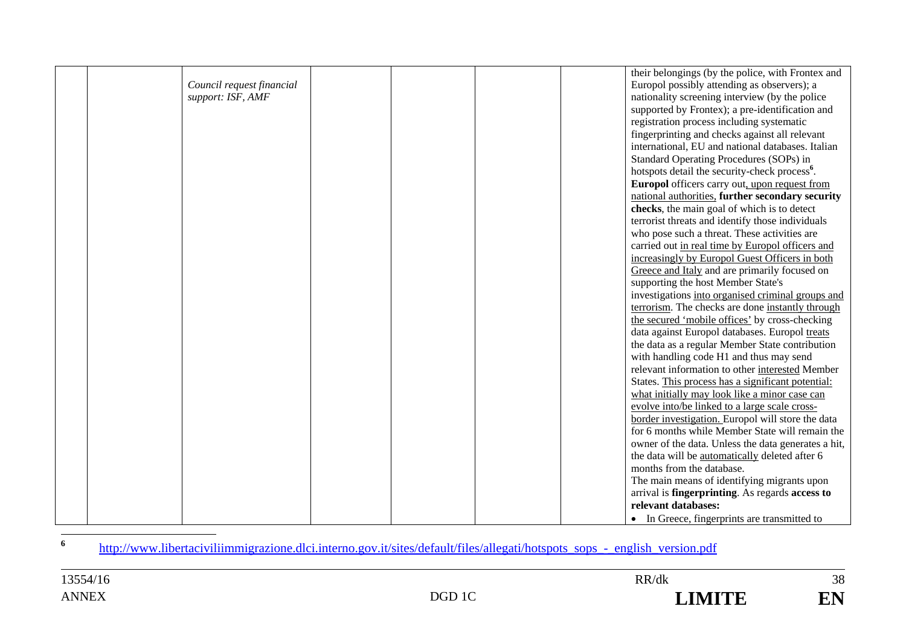|                           |  | their belongings (by the police, with Frontex and              |
|---------------------------|--|----------------------------------------------------------------|
| Council request financial |  | Europol possibly attending as observers); a                    |
| support: ISF, AMF         |  | nationality screening interview (by the police                 |
|                           |  | supported by Frontex); a pre-identification and                |
|                           |  | registration process including systematic                      |
|                           |  | fingerprinting and checks against all relevant                 |
|                           |  | international, EU and national databases. Italian              |
|                           |  | Standard Operating Procedures (SOPs) in                        |
|                           |  | hotspots detail the security-check process <sup>6</sup> .      |
|                           |  | <b>Europol</b> officers carry out, upon request from           |
|                           |  | national authorities, further secondary security               |
|                           |  | checks, the main goal of which is to detect                    |
|                           |  | terrorist threats and identify those individuals               |
|                           |  | who pose such a threat. These activities are                   |
|                           |  | carried out in real time by Europol officers and               |
|                           |  | increasingly by Europol Guest Officers in both                 |
|                           |  | Greece and Italy and are primarily focused on                  |
|                           |  | supporting the host Member State's                             |
|                           |  | investigations into organised criminal groups and              |
|                           |  | terrorism. The checks are done instantly through               |
|                           |  | the secured 'mobile offices' by cross-checking                 |
|                           |  | data against Europol databases. Europol treats                 |
|                           |  | the data as a regular Member State contribution                |
|                           |  | with handling code H1 and thus may send                        |
|                           |  | relevant information to other interested Member                |
|                           |  | States. This process has a significant potential:              |
|                           |  | what initially may look like a minor case can                  |
|                           |  | evolve into/be linked to a large scale cross-                  |
|                           |  | border investigation. Europol will store the data              |
|                           |  | for 6 months while Member State will remain the                |
|                           |  | owner of the data. Unless the data generates a hit,            |
|                           |  | the data will be automatically deleted after 6                 |
|                           |  | months from the database.                                      |
|                           |  | The main means of identifying migrants upon                    |
|                           |  | arrival is <b>fingerprinting</b> . As regards <b>access to</b> |
|                           |  | relevant databases:                                            |
|                           |  | • In Greece, fingerprints are transmitted to                   |

http://www.libertaciviliimmigrazione.dlci.interno.gov.it/sites/default/files/allegati/hotspots\_sops\_-\_english\_version.pdf

**6**

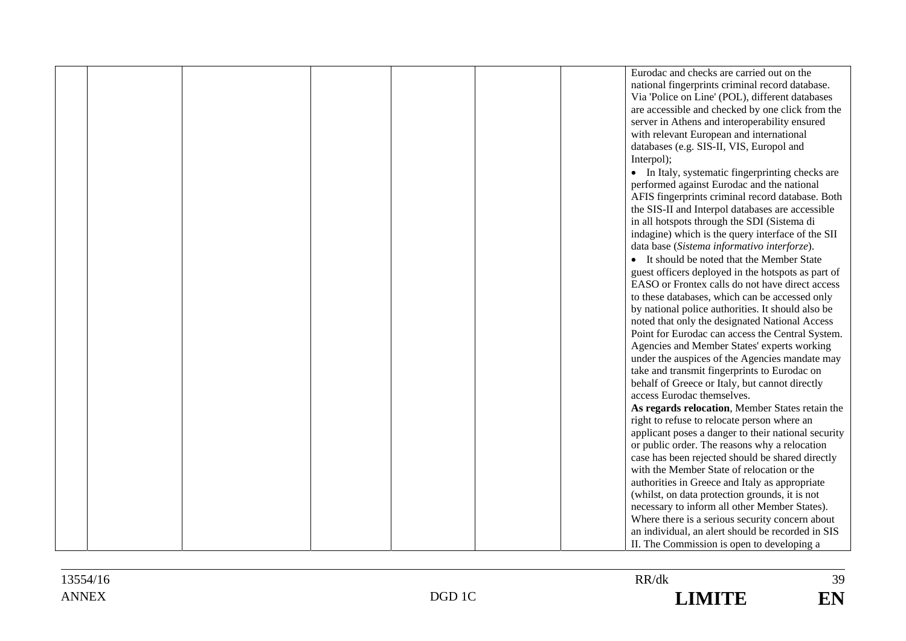|  |  |  | Eurodac and checks are carried out on the           |
|--|--|--|-----------------------------------------------------|
|  |  |  | national fingerprints criminal record database.     |
|  |  |  | Via 'Police on Line' (POL), different databases     |
|  |  |  |                                                     |
|  |  |  | are accessible and checked by one click from the    |
|  |  |  | server in Athens and interoperability ensured       |
|  |  |  | with relevant European and international            |
|  |  |  | databases (e.g. SIS-II, VIS, Europol and            |
|  |  |  | Interpol);                                          |
|  |  |  | • In Italy, systematic fingerprinting checks are    |
|  |  |  | performed against Eurodac and the national          |
|  |  |  | AFIS fingerprints criminal record database. Both    |
|  |  |  | the SIS-II and Interpol databases are accessible    |
|  |  |  | in all hotspots through the SDI (Sistema di         |
|  |  |  | indagine) which is the query interface of the SII   |
|  |  |  |                                                     |
|  |  |  | data base (Sistema informativo interforze).         |
|  |  |  | • It should be noted that the Member State          |
|  |  |  | guest officers deployed in the hotspots as part of  |
|  |  |  | EASO or Frontex calls do not have direct access     |
|  |  |  | to these databases, which can be accessed only      |
|  |  |  | by national police authorities. It should also be   |
|  |  |  | noted that only the designated National Access      |
|  |  |  | Point for Eurodac can access the Central System.    |
|  |  |  | Agencies and Member States' experts working         |
|  |  |  | under the auspices of the Agencies mandate may      |
|  |  |  | take and transmit fingerprints to Eurodac on        |
|  |  |  | behalf of Greece or Italy, but cannot directly      |
|  |  |  | access Eurodac themselves.                          |
|  |  |  | As regards relocation, Member States retain the     |
|  |  |  | right to refuse to relocate person where an         |
|  |  |  | applicant poses a danger to their national security |
|  |  |  | or public order. The reasons why a relocation       |
|  |  |  | case has been rejected should be shared directly    |
|  |  |  | with the Member State of relocation or the          |
|  |  |  |                                                     |
|  |  |  | authorities in Greece and Italy as appropriate      |
|  |  |  | (whilst, on data protection grounds, it is not      |
|  |  |  | necessary to inform all other Member States).       |
|  |  |  | Where there is a serious security concern about     |
|  |  |  | an individual, an alert should be recorded in SIS   |
|  |  |  | II. The Commission is open to developing a          |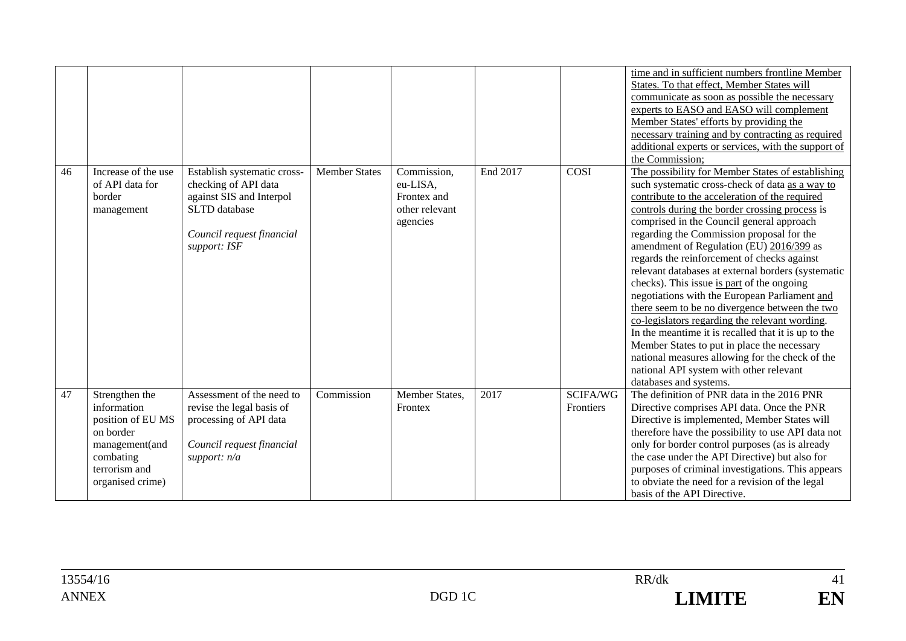|    |                                                                                                                                     |                                                                                                                                               |                      |                                                                      |          |                              | time and in sufficient numbers frontline Member<br>States. To that effect, Member States will<br>communicate as soon as possible the necessary<br>experts to EASO and EASO will complement<br>Member States' efforts by providing the<br>necessary training and by contracting as required<br>additional experts or services, with the support of<br>the Commission;                                                                                                                                                                                                                                                                                                                                                                                                                                                                                                                 |
|----|-------------------------------------------------------------------------------------------------------------------------------------|-----------------------------------------------------------------------------------------------------------------------------------------------|----------------------|----------------------------------------------------------------------|----------|------------------------------|--------------------------------------------------------------------------------------------------------------------------------------------------------------------------------------------------------------------------------------------------------------------------------------------------------------------------------------------------------------------------------------------------------------------------------------------------------------------------------------------------------------------------------------------------------------------------------------------------------------------------------------------------------------------------------------------------------------------------------------------------------------------------------------------------------------------------------------------------------------------------------------|
| 46 | Increase of the use<br>of API data for<br>border<br>management                                                                      | Establish systematic cross-<br>checking of API data<br>against SIS and Interpol<br>SLTD database<br>Council request financial<br>support: ISF | <b>Member States</b> | Commission,<br>eu-LISA,<br>Frontex and<br>other relevant<br>agencies | End 2017 | COSI                         | The possibility for Member States of establishing<br>such systematic cross-check of data as a way to<br>contribute to the acceleration of the required<br>controls during the border crossing process is<br>comprised in the Council general approach<br>regarding the Commission proposal for the<br>amendment of Regulation (EU) 2016/399 as<br>regards the reinforcement of checks against<br>relevant databases at external borders (systematic<br>checks). This issue is part of the ongoing<br>negotiations with the European Parliament and<br>there seem to be no divergence between the two<br>co-legislators regarding the relevant wording.<br>In the meantime it is recalled that it is up to the<br>Member States to put in place the necessary<br>national measures allowing for the check of the<br>national API system with other relevant<br>databases and systems. |
| 47 | Strengthen the<br>information<br>position of EU MS<br>on border<br>management(and<br>combating<br>terrorism and<br>organised crime) | Assessment of the need to<br>revise the legal basis of<br>processing of API data<br>Council request financial<br>support: $n/a$               | Commission           | Member States,<br>Frontex                                            | 2017     | <b>SCIFA/WG</b><br>Frontiers | The definition of PNR data in the 2016 PNR<br>Directive comprises API data. Once the PNR<br>Directive is implemented, Member States will<br>therefore have the possibility to use API data not<br>only for border control purposes (as is already<br>the case under the API Directive) but also for<br>purposes of criminal investigations. This appears<br>to obviate the need for a revision of the legal<br>basis of the API Directive.                                                                                                                                                                                                                                                                                                                                                                                                                                           |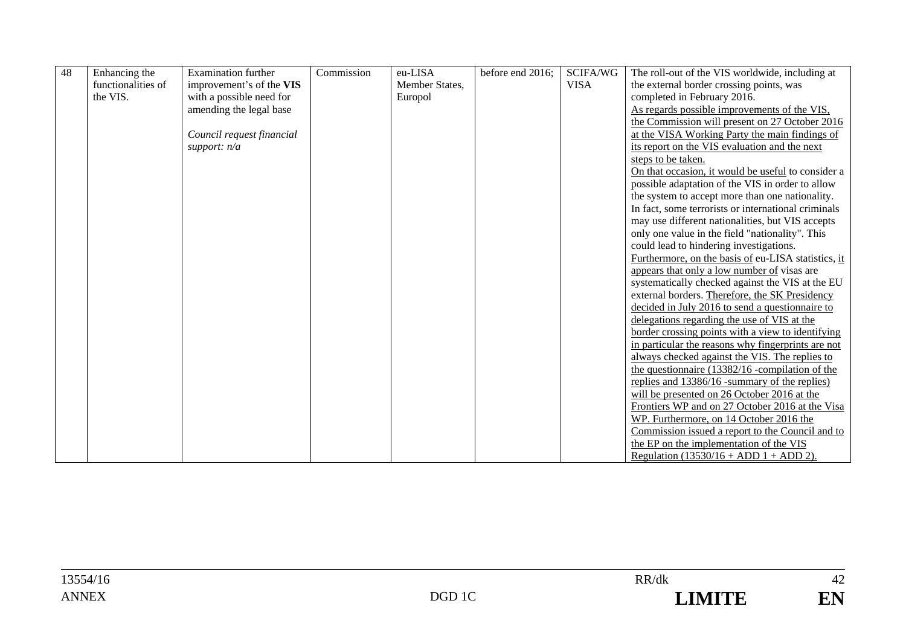| 48 | Enhancing the      | <b>Examination further</b> | Commission | eu-LISA        | before end 2016; | SCIFA/WG    | The roll-out of the VIS worldwide, including at     |
|----|--------------------|----------------------------|------------|----------------|------------------|-------------|-----------------------------------------------------|
|    | functionalities of | improvement's of the VIS   |            | Member States, |                  | <b>VISA</b> | the external border crossing points, was            |
|    | the VIS.           | with a possible need for   |            | Europol        |                  |             | completed in February 2016.                         |
|    |                    | amending the legal base    |            |                |                  |             | As regards possible improvements of the VIS.        |
|    |                    |                            |            |                |                  |             | the Commission will present on 27 October 2016      |
|    |                    |                            |            |                |                  |             | at the VISA Working Party the main findings of      |
|    |                    | Council request financial  |            |                |                  |             |                                                     |
|    |                    | support: $n/a$             |            |                |                  |             | its report on the VIS evaluation and the next       |
|    |                    |                            |            |                |                  |             | steps to be taken.                                  |
|    |                    |                            |            |                |                  |             | On that occasion, it would be useful to consider a  |
|    |                    |                            |            |                |                  |             | possible adaptation of the VIS in order to allow    |
|    |                    |                            |            |                |                  |             | the system to accept more than one nationality.     |
|    |                    |                            |            |                |                  |             | In fact, some terrorists or international criminals |
|    |                    |                            |            |                |                  |             | may use different nationalities, but VIS accepts    |
|    |                    |                            |            |                |                  |             | only one value in the field "nationality". This     |
|    |                    |                            |            |                |                  |             | could lead to hindering investigations.             |
|    |                    |                            |            |                |                  |             | Furthermore, on the basis of eu-LISA statistics, it |
|    |                    |                            |            |                |                  |             | appears that only a low number of visas are         |
|    |                    |                            |            |                |                  |             | systematically checked against the VIS at the EU    |
|    |                    |                            |            |                |                  |             | external borders. Therefore, the SK Presidency      |
|    |                    |                            |            |                |                  |             | decided in July 2016 to send a questionnaire to     |
|    |                    |                            |            |                |                  |             | delegations regarding the use of VIS at the         |
|    |                    |                            |            |                |                  |             | border crossing points with a view to identifying   |
|    |                    |                            |            |                |                  |             | in particular the reasons why fingerprints are not  |
|    |                    |                            |            |                |                  |             | always checked against the VIS. The replies to      |
|    |                    |                            |            |                |                  |             | the questionnaire (13382/16 -compilation of the     |
|    |                    |                            |            |                |                  |             | replies and 13386/16 -summary of the replies)       |
|    |                    |                            |            |                |                  |             | will be presented on 26 October 2016 at the         |
|    |                    |                            |            |                |                  |             | Frontiers WP and on 27 October 2016 at the Visa     |
|    |                    |                            |            |                |                  |             | WP. Furthermore, on 14 October 2016 the             |
|    |                    |                            |            |                |                  |             | Commission issued a report to the Council and to    |
|    |                    |                            |            |                |                  |             | the EP on the implementation of the VIS             |
|    |                    |                            |            |                |                  |             | Regulation $(13530/16 + ADD 1 + ADD 2)$ .           |